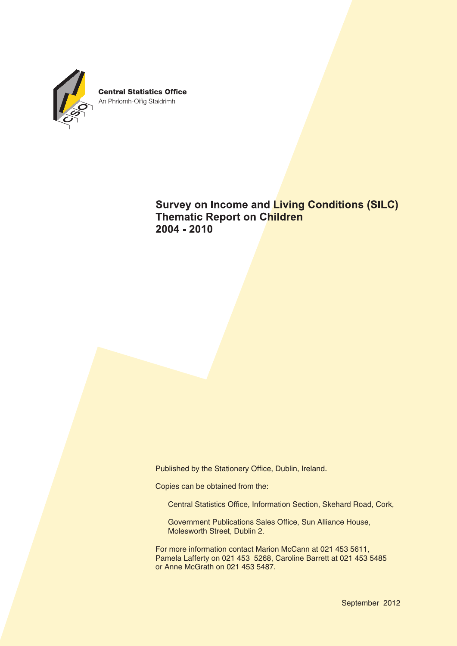

**Survey on Income and Living Conditions (SILC) Thematic Report on Children**  $2004 - 2010$ 

Published by the Stationery Office, Dublin, Ireland.

Copies can be obtained from the:

Central Statistics Office, Information Section, Skehard Road, Cork,

Government Publications Sales Office, Sun Alliance House, Molesworth Street, Dublin 2.

For more information contact Marion McCann at 021 453 5611, Pamela Lafferty on 021 453 5268, Caroline Barrett at 021 453 5485 or Anne McGrath on 021 453 5487.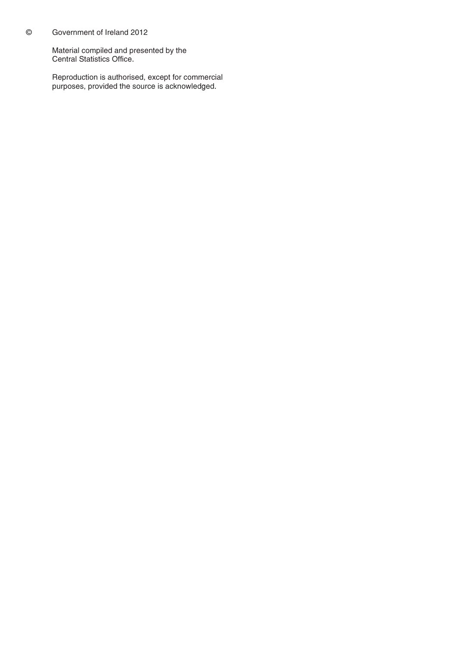### © Government of Ireland 2012

Material compiled and presented by the Central Statistics Office.

Reproduction is authorised, except for commercial purposes, provided the source is acknowledged.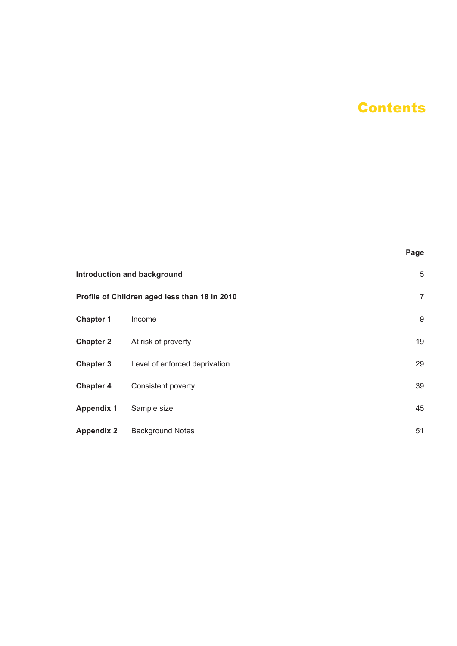# **Contents**

**Page**

|                   | <b>Introduction and background</b>            | 5  |
|-------------------|-----------------------------------------------|----|
|                   | Profile of Children aged less than 18 in 2010 | 7  |
| <b>Chapter 1</b>  | Income                                        | 9  |
| <b>Chapter 2</b>  | At risk of proverty                           | 19 |
| <b>Chapter 3</b>  | Level of enforced deprivation                 | 29 |
| <b>Chapter 4</b>  | Consistent poverty                            | 39 |
| <b>Appendix 1</b> | Sample size                                   | 45 |
| <b>Appendix 2</b> | <b>Background Notes</b>                       | 51 |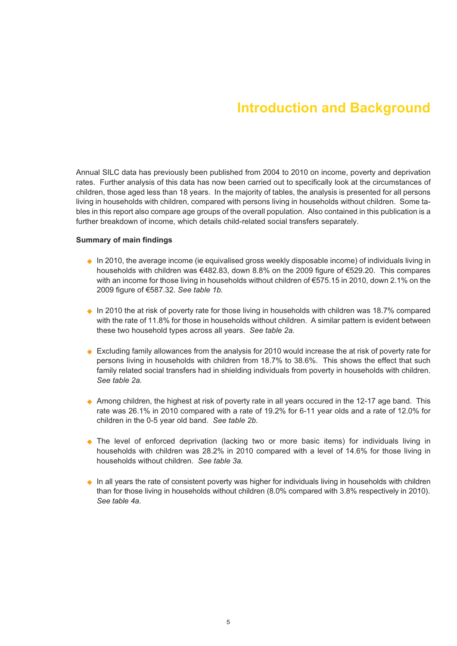# **Introduction and Background**

Annual SILC data has previously been published from 2004 to 2010 on income, poverty and deprivation rates. Further analysis of this data has now been carried out to specifically look at the circumstances of children, those aged less than 18 years. In the majority of tables, the analysis is presented for all persons living in households with children, compared with persons living in households without children. Some tables in this report also compare age groups of the overall population. Also contained in this publication is a further breakdown of income, which details child-related social transfers separately.

### **Summary of main findings**

- ◆ In 2010, the average income (ie equivalised gross weekly disposable income) of individuals living in households with children was €482.83, down 8.8% on the 2009 figure of €529.20. This compares with an income for those living in households without children of €575.15 in 2010, down 2.1% on the 2009 figure of €587.32. *See table 1b.*
- $\bullet$  In 2010 the at risk of poverty rate for those living in households with children was 18.7% compared with the rate of 11.8% for those in households without children. A similar pattern is evident between these two household types across all years. *See table 2a.*
- ♦ Excluding family allowances from the analysis for 2010 would increase the at risk of poverty rate for persons living in households with children from 18.7% to 38.6%. This shows the effect that such family related social transfers had in shielding individuals from poverty in households with children. *See table 2a.*
- ◆ Among children, the highest at risk of poverty rate in all years occured in the 12-17 age band. This rate was 26.1% in 2010 compared with a rate of 19.2% for 6-11 year olds and a rate of 12.0% for children in the 0-5 year old band. *See table 2b*.
- The level of enforced deprivation (lacking two or more basic items) for individuals living in households with children was 28.2% in 2010 compared with a level of 14.6% for those living in households without children. *See table 3a.*
- ◆ In all years the rate of consistent poverty was higher for individuals living in households with children than for those living in households without children (8.0% compared with 3.8% respectively in 2010). *See table 4a*.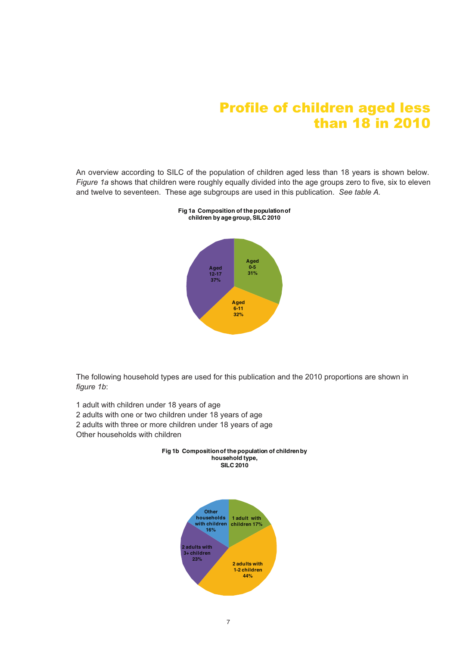# Profile of children aged less than 18 in 2010

An overview according to SILC of the population of children aged less than 18 years is shown below. *Figure 1a* shows that children were roughly equally divided into the age groups zero to five, six to eleven and twelve to seventeen. These age subgroups are used in this publication. *See table A.*



**Fig 1a Composition of the populationof children by age group, SILC 2010**

The following household types are used for this publication and the 2010 proportions are shown in *figure 1b*:

- 1 adult with children under 18 years of age 2 adults with one or two children under 18 years of age 2 adults with three or more children under 18 years of age
- Other households with children



# **Fig 1b Compositionof the population of childrenby**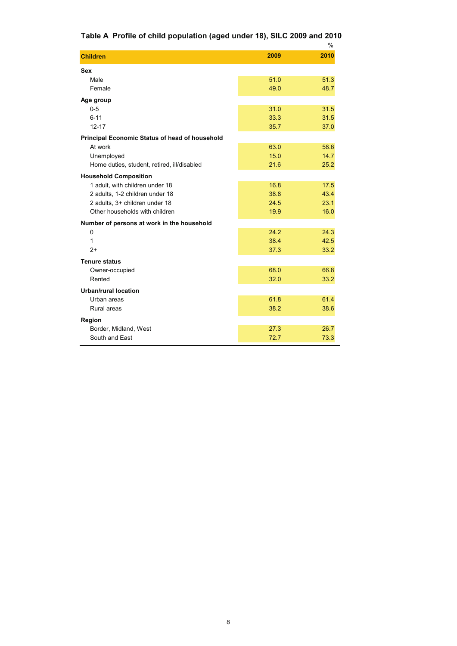# **Table A Profile of child population (aged under 18), SILC 2009 and 2010**

|                                                       |      | $\frac{0}{0}$ |
|-------------------------------------------------------|------|---------------|
| <b>Children</b>                                       | 2009 | 2010          |
| <b>Sex</b>                                            |      |               |
| Male                                                  | 51.0 | 51.3          |
| Female                                                | 49.0 | 48.7          |
| Age group                                             |      |               |
| $0 - 5$                                               | 31.0 | 31.5          |
| $6 - 11$                                              | 33.3 | 31.5          |
| $12 - 17$                                             | 35.7 | 37.0          |
| <b>Principal Economic Status of head of household</b> |      |               |
| At work                                               | 63.0 | 58.6          |
| Unemployed                                            | 15.0 | 14.7          |
| Home duties, student, retired, ill/disabled           | 21.6 | 25.2          |
| <b>Household Composition</b>                          |      |               |
| 1 adult, with children under 18                       | 16.8 | 17.5          |
| 2 adults, 1-2 children under 18                       | 38.8 | 43.4          |
| 2 adults, 3+ children under 18                        | 24.5 | 23.1          |
| Other households with children                        | 19.9 | 16.0          |
| Number of persons at work in the household            |      |               |
| 0                                                     | 24.2 | 24.3          |
| 1                                                     | 38.4 | 42.5          |
| $2+$                                                  | 37.3 | 33.2          |
| <b>Tenure status</b>                                  |      |               |
| Owner-occupied                                        | 68.0 | 66.8          |
| Rented                                                | 32.0 | 33.2          |
| Urban/rural location                                  |      |               |
| Urban areas                                           | 61.8 | 61.4          |
| Rural areas                                           | 38.2 | 38.6          |
| Region                                                |      |               |
| Border, Midland, West                                 | 27.3 | 26.7          |
| South and East                                        | 72.7 | 73.3          |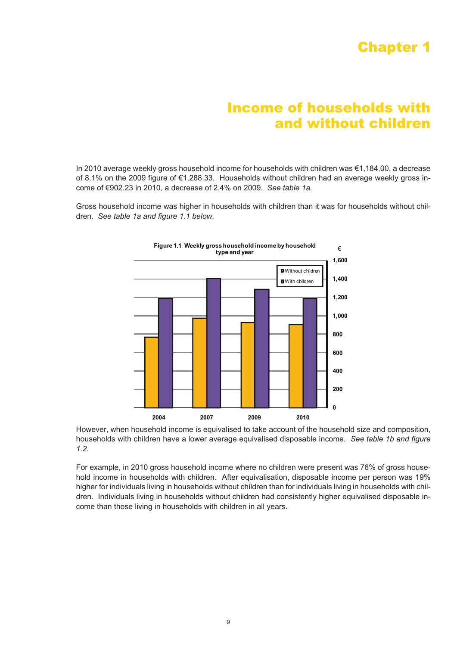# Chapter 1

# Income of households with and without children

In 2010 average weekly gross household income for households with children was €1,184.00, a decrease of 8.1% on the 2009 figure of €1,288.33. Households without children had an average weekly gross income of €902.23 in 2010, a decrease of 2.4% on 2009. *See table 1a.*

Gross household income was higher in households with children than it was for households without children. *See table 1a and figure 1.1 below.*



However, when household income is equivalised to take account of the household size and composition, households with children have a lower average equivalised disposable income. *See table 1b and figure 1.2.*

For example, in 2010 gross household income where no children were present was 76% of gross household income in households with children. After equivalisation, disposable income per person was 19% higher for individuals living in households without children than for individuals living in households with children. Individuals living in households without children had consistently higher equivalised disposable income than those living in households with children in all years.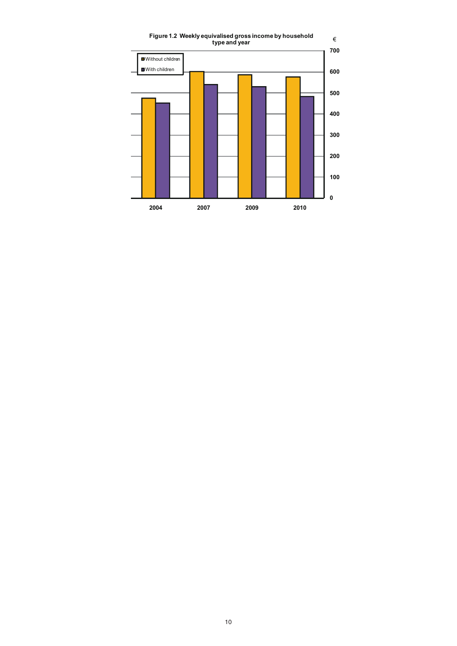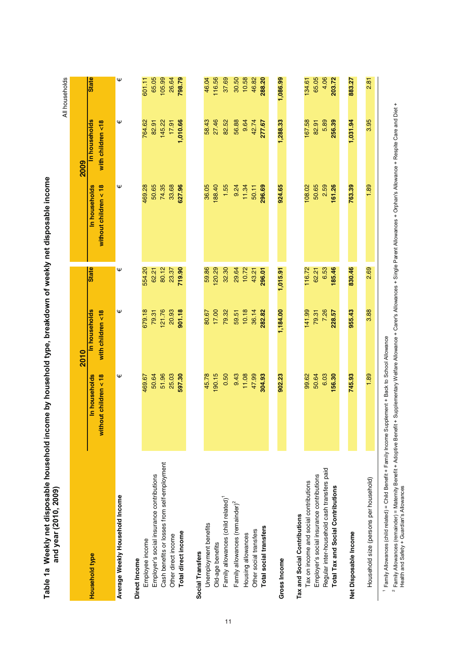| and year (2010, 2009)                          |                                          |                                    |              |                                          |                                    | All households |
|------------------------------------------------|------------------------------------------|------------------------------------|--------------|------------------------------------------|------------------------------------|----------------|
|                                                |                                          | 2010                               |              |                                          | 2009                               |                |
| Household type                                 | without children $<$ 18<br>In households | In households<br>with children <18 | <b>State</b> | without children $<$ 18<br>In households | In households<br>with children <18 | <b>State</b>   |
| Average Weekly Household Income                | Ψ                                        | Ψ                                  | Ψ            | Ψ                                        | Ψ                                  | Ψ              |
| Direct Income                                  |                                          |                                    |              |                                          |                                    |                |
| Employee income                                | 469.67                                   | 679.18                             | 554.20       | 469.28                                   | 764.62                             | 601.11         |
| Employer's social insurance contributions      | 50.64                                    | 79.31                              | 62.21        | 50.65                                    | 82.91                              | 65.05          |
| Cash benefits or losses from self-employment   | 51.96                                    | 121.76                             | 80.12        | 74.35                                    | 145.22                             | 105.99         |
| Other direct income                            | 25.03                                    | 20.93                              | 23.37        | 33.68                                    | 17.91                              | 26.64          |
| Total direct income                            | 597.30                                   | 901.18                             | 719.90       | 627.96                                   | 1,010.66                           | 798.79         |
| Social Transfers                               |                                          |                                    |              |                                          |                                    |                |
| Unemployment benefits                          | 45.78                                    | 80.67                              | 59.86        | 36.05                                    | 58.43                              | 46.04          |
| Old-age benefits                               | 190.15                                   | 17.00                              | 120.29       | 188.40                                   | 27.46                              | 116.56         |
| Family allowances (child related) <sup>1</sup> | 0.50                                     | 79.32                              | 32.30        | 1.55                                     | 82.52                              | 37.69          |
| Family allowances (remainder) <sup>2</sup>     | 9.43                                     | 59.51                              | 29.64        | 9.24                                     | 56.88                              | 30.50          |
| Housing allowances                             | 11.08                                    | 10.18                              | 10.72        | 11.34                                    | 9.64                               | 10.58          |
| Other social transfers                         | 47.99                                    | 36.14                              | 43.21        | 50.11                                    | 42.74                              | 46.82          |
| Total social transfers                         | 304.93                                   | 282.82                             | 296.01       | 296.69                                   | 277.67                             | 288.20         |
| <b>Gross Income</b>                            | 902.23                                   | 1,184.00                           | 1,015.91     | 924.65                                   | 1,288.33                           | 1,086.99       |
| Tax and Social Contributions                   |                                          |                                    |              |                                          |                                    |                |
| Tax on income and social contributions         | 99.62                                    | 141.99                             | 116.72       | 108.02                                   | 167.58                             | 134.61         |
| Employer's social insurance contributions      | 50.64                                    | 79.31                              | 62.21        | 50.65                                    | 82.91                              | 65.05          |
| Regular inter-household cash transfers paid    | 6.03                                     | 7.26                               | 6.53         | 2.59                                     | 5.89                               | 4.06           |
| Total Tax and Social Contributions             | 156.30                                   | 228.57                             | 185.46       | 161.26                                   | 256.39                             | 203.72         |
| Net Disposable Income                          | 745.93                                   | 955.43                             | 830.46       | 763.39                                   | 1,031.94                           | 883.27         |
| Household size (persons per household)         | 1.89                                     | 3.88                               | 2.69         | 1.89                                     | 3.95                               | 2.81           |
|                                                |                                          |                                    |              |                                          |                                    |                |

Table 1a Weekly net disposable household income by household type, breakdown of weekly net disposable income Table 1a Weekly net disposable household income by household type, breakdown of weekly net disposable income

<sup>1</sup> Family Allowances (child related) = Child Benefit + Family Income Supplement + Back to School Allowance Family Allowances (child related) = Child Benefit + Family Income Supplement + Back to School Allowance

<sup>2</sup> Family Allowances (remainder) = Maternity Benefit + Adoptive Benefit + Supplementary Welfare Allowance + Carer's Allowances + Single Parent Allowances + Orphan's Allowance + Respite Care and Diet +<br>Health and Safety + Family Allowances (remainder) = Maternity Benefit + Adoptive Benefit + Supplementary Welfare Allowance + Carer's Allowances + Single Parent Allowances + Orphan's Allowance + Respite Care and Diet + Health and Safety + Guardian's Allowances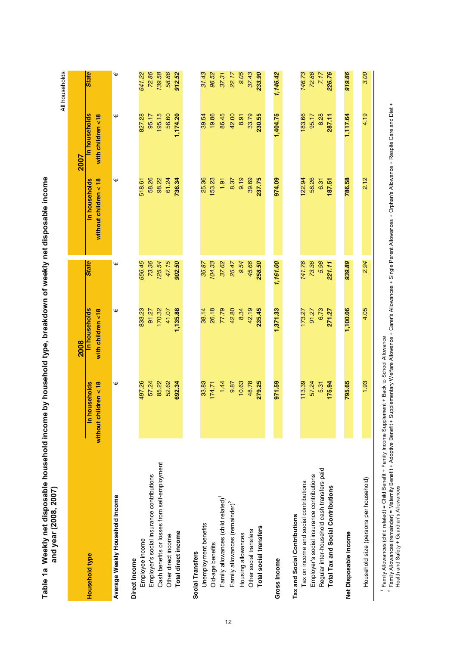| anu year (2006, 2007 /                         |                                          |                                    |              |                                        |                                    | All households |
|------------------------------------------------|------------------------------------------|------------------------------------|--------------|----------------------------------------|------------------------------------|----------------|
|                                                |                                          | 2008                               |              |                                        | <b>2007</b>                        |                |
| Household type                                 | without children $<$ 18<br>In households | In households<br>with children <18 | <b>State</b> | without children < 18<br>In households | In households<br>with children <18 | <b>State</b>   |
| Average Weekly Household Income                | Ψ                                        | Ψ                                  | Ψ            | Ψ                                      | Ψ                                  | Ψ              |
| Direct Income                                  |                                          |                                    |              |                                        |                                    |                |
| Employee income                                | 497.26                                   | 833.23                             | 656.45       | 518.61                                 | 827.28                             | 641.22         |
| Employer's social insurance contributions      | 57.24                                    | 91.27                              | 73.36        | 58.26                                  | 95.17                              | 72.86          |
| Cash benefits or losses from self-employment   | 85.22                                    | 170.32                             | 125.54       | 98.22                                  | 195.15                             | 139.58         |
| Other direct income                            | 52.62                                    | 41.07                              | 47.15        | 61.24                                  | 56.60                              | 58.86          |
| Total direct income                            | 692.34                                   | 1,135.88                           | 902.50       | 736.34                                 | 1,174.20                           | 912.52         |
| Social Transfers                               |                                          |                                    |              |                                        |                                    |                |
| Unemployment benefits                          | 33.83                                    | 38.14                              | 35.87        | 25.36                                  | 39.54                              | 31.43          |
| Old-age benefits                               | 174.71                                   | 26.18                              | 104.33       | 153.23                                 | 19.86                              | 96.52          |
| Family allowances (child related) <sup>1</sup> | 1.44                                     | 77.79                              | 37.62        | 1.91                                   | 86.45                              | 37.31          |
| Family allowances (remainder) <sup>2</sup>     | 9.87                                     | 42.80                              | 25.47        | 8.37                                   | 42.00                              | 22.17          |
| Housing allowances                             | 10.63                                    | 8.34                               | 9.54         | 9.19                                   | 8.91                               | 9.05           |
| Other social transfers                         | 48.78                                    | 42.19                              | 45.66        | 39.69                                  | 33.79                              | 37.43          |
| <b>Total social transfers</b>                  | 279.25                                   | 235.45                             | 258.50       | 237.75                                 | 230.55                             | 233.90         |
| <b>Gross Income</b>                            | 971.59                                   | 1,371.33                           | 1,161.00     | 974.09                                 | 1,404.75                           | 1,146.42       |
| Tax and Social Contributions                   |                                          |                                    |              |                                        |                                    |                |
| Tax on income and social contributions         | 113.39                                   | 173.27                             | 141.76       | 122.94                                 | 183.66                             | 146.73         |
| Employer's social insurance contributions      | 57.24                                    | 91.27                              | 73.36        | 58.26                                  | 95.17                              | 72.86          |
| Regular inter-household cash transfers paid    | 5.31                                     | 6.73                               | 5.98         | 6.31                                   | 8.28                               | 7.17           |
| <b>Total Tax and Social Contributions</b>      | 175.94                                   | 271.27                             | 221.11       | 187.51                                 | 287.11                             | 226.76         |
|                                                | 795.65                                   | 1,100.06                           | 939.89       | 786.58                                 | 1,117.64                           | 919.66         |
| Net Disposable Income                          |                                          |                                    |              |                                        |                                    |                |
| Household size (persons per household)         | 1.93                                     | 4.05                               | 2.94         | 2.12                                   | 4.19                               | 3.00           |
|                                                |                                          |                                    |              |                                        |                                    |                |

Table 1a Weekly net disposable household income by household type, breakdown of weekly net disposable income<br>and vaar (2008–2007) Table 1a Weekly net disposable household income by household type, breakdown of weekly net disposable income **and year (2008, 2007)**

Family Allowances (child related) = Child Benefit + Family Income Supplement + Back to School Allowance

Family Allowances (remainder) = Maternity Benefit + Adoptive Benefit + Supplementary Welfare Allowance + Carer's Allowances + Single Parent Allowances + Orphan's Allowance + Respite Care and Diet +

Health and Safety + Guardian's Allowances

 $\circ$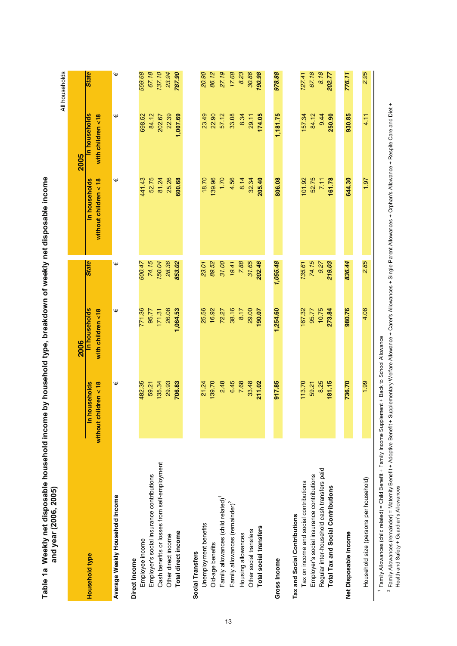| ・さくらくりょう                 |                        |
|--------------------------|------------------------|
|                          |                        |
| i<br>S                   |                        |
|                          |                        |
|                          |                        |
|                          |                        |
|                          |                        |
|                          |                        |
|                          |                        |
|                          | I                      |
|                          |                        |
|                          |                        |
| et dis<br>֦ׅ֚֚֚֬֡֡֡֡֡֡֡֝ |                        |
| l                        |                        |
| $M = -1.1$               | and year <sup>17</sup> |
| Table 1a V               |                        |

|                                                                                                                      |                                          |                                    |                 |                                        |                                           | All households  |
|----------------------------------------------------------------------------------------------------------------------|------------------------------------------|------------------------------------|-----------------|----------------------------------------|-------------------------------------------|-----------------|
|                                                                                                                      |                                          | 2006                               |                 |                                        | 2005                                      |                 |
| Household type                                                                                                       | In households<br>without children $<$ 18 | In households<br>with children <18 | <b>State</b>    | In households<br>without children < 18 | <b>In households</b><br>with children <18 | <b>State</b>    |
| Average Weekly Household Income                                                                                      | Ψ                                        | Ψ                                  | Ψ               | Ψ                                      | Ψ                                         | Ψ               |
| Direct Income                                                                                                        |                                          |                                    |                 |                                        |                                           |                 |
| Employee income                                                                                                      | 482.35                                   | 771.36                             | 600.47          | 41.43                                  | 698.52                                    | 559.68          |
| Cash benefits or losses from self-employment<br>Employer's social insurance contributions                            | 135.34<br>59.21                          | 171.31<br>95.77                    | 74.15<br>150.04 | 52.75<br>81.24                         | 84.12<br>202.67                           | 67.18<br>137.10 |
| Other direct income                                                                                                  | 29.93                                    | 26.08                              | 28.36           | 25.26                                  | 22.39                                     | 23.94           |
| Total direct income                                                                                                  | 706.83                                   | 1,064.53                           | 853.02          | 600.68                                 | 1,007.69                                  | 787.90          |
| Social Transfers                                                                                                     |                                          |                                    |                 |                                        |                                           |                 |
| Unemployment benefits                                                                                                | 21.24                                    | 25.56                              | 23.01           | 18.70                                  | 23.49                                     | 20.90           |
| Old-age benefits                                                                                                     | 139.70                                   | 16.92                              | 89.52           | 139.96                                 | 22.90                                     | 86.12           |
| Family allowances (child related) <sup>1</sup>                                                                       | 2.48                                     | 72.27                              | 31.00           | 1.70                                   | 57.12                                     | 27.19           |
| Family allowances (remainder) <sup>2</sup>                                                                           | 6.45                                     | 38.16                              | 19.41           | 4.56                                   | 33.08                                     | 17.68           |
| Housing allowances                                                                                                   | 7.68                                     | 8.17                               | 7.88            | 8.14                                   | 8.34                                      | 8.23            |
| Other social transfers                                                                                               | 33.48                                    | 29.00                              | 31.65           | 32.34                                  | 29.11                                     | 30.86           |
| Total social transfers                                                                                               | 211.02                                   | 190.07                             | 202.46          | 205.40                                 | 174.05                                    | 190.98          |
|                                                                                                                      |                                          |                                    |                 |                                        |                                           |                 |
| Gross Income                                                                                                         | 917.85                                   | 1,254.60                           | 1,055.48        | 806.08                                 | 1,181.75                                  | 978.88          |
| Tax and Social Contributions                                                                                         |                                          |                                    |                 |                                        |                                           |                 |
| Tax on income and social contributions                                                                               | 113.70                                   | 167.32                             | 135.61          | 101.92                                 | 157.34                                    | 127.41          |
| Employer's social insurance contributions                                                                            | 59.21                                    | 95.77                              | 74.15           | 52.75                                  | 84.12                                     | 67.18           |
| Regular inter-household cash transfers paid                                                                          | 8.25                                     | 10.75                              | 9.27            | 7.11                                   | 9.44                                      | 8.18            |
| Total Tax and Social Contributions                                                                                   | 181.15                                   | 273.84                             | 219.03          | 161.78                                 | 250.90                                    | 202.77          |
| Net Disposable Income                                                                                                | 736.70                                   | 980.76                             | 836.44          | 644.30                                 | 930.85                                    | 776.11          |
|                                                                                                                      |                                          |                                    |                 |                                        |                                           |                 |
| Household size (persons per household)                                                                               | 1.99                                     | 4.08                               | 2.85            | 1.97                                   | 4.11                                      | 2.95            |
| <sup>1</sup> Family Allowances (child related) = Child Benefit + Family Income Supplement + Back to School Allowance |                                          |                                    |                 |                                        |                                           |                 |

<sup>2</sup> Family Allowances (remainder) = Maternity Benefit + Adoptive Benefit + Supplementary Welfare Allowance + Carer's Allowances + Single Parent Allowances + Orphan's Allowance + Respite Care and Diet +<br>Health and Safety + Family Allowances (remainder) = Maternity Benefit + Adoptive Benefit + Supplementary Welfare Allowance + Carer's Allowances + Single Parent Allowances + Orphan's Allowance + Respite Care and Diet + Health and Safety + Guardian's Allowances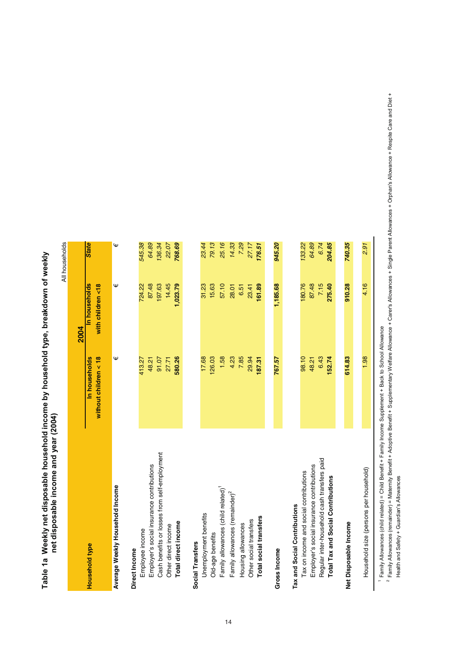# Table 1a Weekly net disposable household income by household type, breakdown of weekly Table 1a Weekly net disposable household income by household type, breakdown of weekly net disposable income and year (2004) **net disposable income and year (2004)**

|                                                |                                        |                                    | All households |
|------------------------------------------------|----------------------------------------|------------------------------------|----------------|
|                                                |                                        | 2004                               |                |
| Household type                                 | without children < 18<br>In households | In households<br>with children <18 | <b>State</b>   |
| Average Weekly Household Income                | Ψ                                      | Ψ                                  | Ψ              |
| Direct Income                                  |                                        |                                    |                |
| Employee income                                | 413.27                                 | 724.22                             | 545.38         |
| Employer's social insurance contributions      | 48.21                                  | 87.48                              | 64.89          |
| Cash benefits or losses from self-employment   | 91.07                                  | 197.63                             | 136.34         |
| Other direct income                            | 27.71                                  | 14.45                              | 22.07          |
| Total direct income                            | 580.26                                 | 1,023.79                           | 768.69         |
| Social Transfers                               |                                        |                                    |                |
| Unemployment benefits                          | 17.68                                  | 31.23                              | 23.44          |
| Old-age benefits                               | 126.03                                 | 15.63                              | 79.13          |
| Family allowances (child related) <sup>1</sup> | 1.58                                   | 57.10                              | 25.16          |
| Family allowances (remainder) <sup>2</sup>     | 4.23                                   | 28.01                              | 14.33          |
| Housing allowances                             | 7.85                                   | 6.51                               | 7.29           |
| Other social transfers                         | 29.94                                  | 23.41                              | 27.17          |
| <b>Total social transfers</b>                  | 187.31                                 | 161.89                             | 176.51         |
| Gross Income                                   | 767.57                                 | 1,185.68                           | 945.20         |
| Tax and Social Contributions                   |                                        |                                    |                |
| Tax on income and social contributions         | 98.10                                  | 180.76                             | 133.22         |
| Employer's social insurance contributions      | 48.21                                  | 87.48                              | 64.89          |
| Regular inter-household cash transfers paid    | 6.43                                   | 7.15                               | 6.74           |
| <b>Total Tax and Social Contributions</b>      | 152.74                                 | 275.40                             | 204.85         |
|                                                |                                        |                                    |                |
| Net Disposable Income                          | 614.83                                 | 910.28                             | 740.35         |
| Household size (persons per household)         | 1.98                                   | 4.16                               | 2.91           |
|                                                |                                        |                                    |                |

1 Family Allowances (child related) = Child Benefit + Family Income Supplement + Back to School Allowance Family Allowances (child related) = Child Benefit + Family Income Supplement + Back to School Allowance

<sup>2</sup> Farnily Allowances (remainder) = Maternity Benefit + Adoptive Benefit + Supplementary Welfare Allowance + Carer's Allowances + Single Parent Allowances + Orphan's Allowance + Respite Care and Diet + Family Allowances (remainder) = Maternity Benefit + Adoptive Benefit + Supplementary Welfare Allowance + Carer's Allowances + Single Parent Allowances + Orphan's Allowance + Respite Care and Diet + Health and Safety + Guardian's Allowances Health and Safety + Guardian's Allowances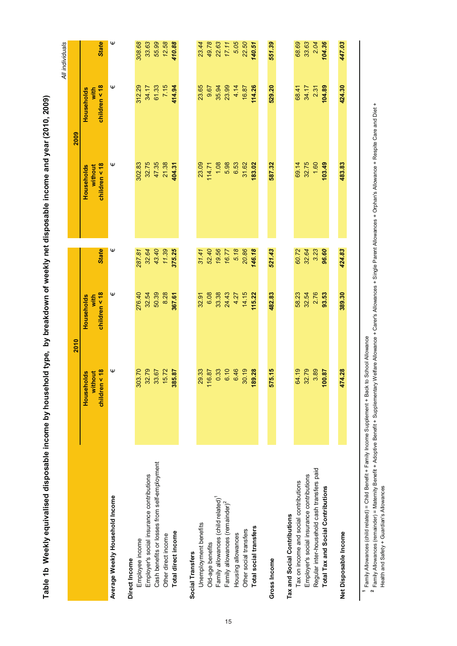|                                                |                                           |                                     |              | Table 1b Weekly equivalised disposable income by household type, by breakdown of weekly net disposable income and year (2010, 2009) |                                     |                 |
|------------------------------------------------|-------------------------------------------|-------------------------------------|--------------|-------------------------------------------------------------------------------------------------------------------------------------|-------------------------------------|-----------------|
|                                                |                                           |                                     |              |                                                                                                                                     |                                     | All individuals |
|                                                |                                           | 2010                                |              |                                                                                                                                     | 2009                                |                 |
|                                                | < 18<br>Households<br>without<br>children | children < 18<br>with<br>Households | <b>State</b> | children < 18<br>without<br>Households                                                                                              | children < 18<br>Households<br>with | <b>State</b>    |
| Average Weekly Household Income                | Ψ                                         | Ψ                                   | Ψ            | Ψ                                                                                                                                   | Ψ                                   | Ψ               |
| Direct Income                                  |                                           |                                     |              |                                                                                                                                     |                                     |                 |
| Employee income                                | 303.70                                    | 276.40                              | 287.81       | 302.83                                                                                                                              | 312.29                              | 308.68          |
| Employer's social insurance contributions      | 32.79                                     | 32.54                               | 32.64        | 32.75                                                                                                                               | 34.17                               | 33.63           |
| Cash benefits or losses from self-employment   | 33.67                                     | 50.39                               | 43.40        | 47.35                                                                                                                               | 61.33                               | 55.99           |
| Other direct income                            | 15.72                                     | 8.28                                | 11.39        | 21.38                                                                                                                               | 7.15                                | 12.58           |
| Total direct income                            | 385.87                                    | 367.61                              | 375.25       | 404.31                                                                                                                              | 414.94                              | 410.88          |
| Social Transfers                               |                                           |                                     |              |                                                                                                                                     |                                     |                 |
| Unemployment benefits                          | 29.33                                     | 32.91                               | 31.41        | 23.09                                                                                                                               | 23.65                               | 23.44           |
| Old-age benefits                               | 16.87<br>÷                                | 6.08                                | 52.40        | 114.71                                                                                                                              | 9.67                                | 49.78           |
| Family allowances (child related) <sup>1</sup> | 0.33                                      | 33.38                               | 19.56        | 1.08                                                                                                                                | 35.94                               | 22.63           |
| Family allowances (remainder) <sup>2</sup>     | 6.10                                      | 24.43                               | 16.77        | 5.98                                                                                                                                | 23.99                               | 17.11           |
| Housing allowances                             | 6.46                                      | 4.27                                | 5.18         | 6.53                                                                                                                                | 4.14                                | 5.05            |
| Other social transfers                         | 30.19                                     | 14.15                               | 20.86        | 31.62                                                                                                                               | 16.87                               | 22.50           |
| Total social transfers                         | 189.28                                    | 115.22                              | 146.18       | 183.02                                                                                                                              | 114.26                              | 140.51          |
|                                                |                                           |                                     |              |                                                                                                                                     |                                     |                 |
| Gross Income                                   | 575.15                                    | 482.83                              | 521.43       | 587.32                                                                                                                              | 529.20                              | 551.39          |
| Tax and Social Contributions                   |                                           |                                     |              |                                                                                                                                     |                                     |                 |
| Tax on income and social contributions         | 64.19                                     | 58.23                               | 60.72        | 69.14                                                                                                                               | 68.41                               | 68.69           |
| Employer's social insurance contributions      | 32.79                                     | 32.54                               | 32.64        | 32.75                                                                                                                               | 34.17                               | 33.63           |
| Regular inter-household cash transfers paid    | 3.89                                      | 2.76                                | 3.23         | 1.60                                                                                                                                | 2.31                                | 2.04            |
| Total Tax and Social Contributions             | 100.87                                    | 93.53                               | 96.60        | 103.49                                                                                                                              | 104.89                              | 104.36          |
| Net Disposable Income                          | 474.28                                    | 389.30                              | 424.83       | 483.83                                                                                                                              | 424.30                              | 447.03          |
|                                                |                                           |                                     |              |                                                                                                                                     |                                     |                 |

<sup>1</sup> Family Allowances (child related) = Child Benefit + Family Income Supplement + Back to School Allowance Family Allowances (child related) = Child Benefit + Family Income Supplement + Back to School Allowance

<sup>2</sup> Family Allowances (remainder) = Maternity Benefit + Adoptive Benefit + Supplementary Welfare Allowance + Carer's Allowances + Single Parent Allowances + Orphan's Allowance + Respite Care and Diet + Family Allowances (remainder) = Maternity Benefit + Adoptive Benefit + Supplementary Welfare Allowance + Carer's Allowances + Single Parent Allowances + Orphan's Allowance + Respite Care and Diet + Health and Safety + Guardian's Allowances Health and Safety + Guardian's Allowances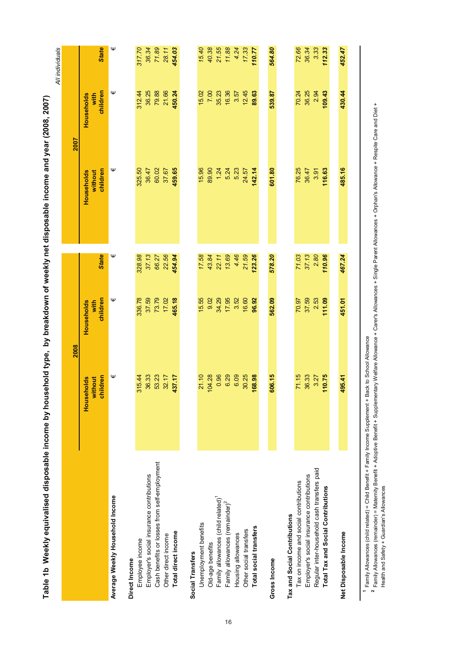|                                                |                       | 2008               |              |                       | <b>Z007</b>        |              |
|------------------------------------------------|-----------------------|--------------------|--------------|-----------------------|--------------------|--------------|
|                                                | without<br>Households | Households<br>with |              | without<br>Households | Households<br>with |              |
|                                                | children              | children           | <b>State</b> | children              | children           | <b>State</b> |
| Average Weekly Household Income                | Ψ                     | Ψ                  | Ψ            | Ψ                     | Ψ                  | Ψ            |
| Direct Income                                  |                       |                    |              |                       |                    |              |
| Employee income                                | 15.44<br>S            | 336.78             | 328.98       | 325.50                | 312.44             | 317.70       |
| Employer's social insurance contributions      | 36.33                 | 37.59              | 37.13        | 36.47                 | 36.25              | 36.34        |
| Cash benefits or losses from self-employment   | 53.23                 | 73.79              | 66.27        | 60.02                 | 79.88              | 71.89        |
| Other direct income                            | 32.17                 | 17.02              | 22.56        | 37.67                 | 21.66              | 28.11        |
| Total direct income                            | 37.17<br>₩            | 465.18             | 454.94       | 459.65                | 450.24             | 454.03       |
| Social Transfers                               |                       |                    |              |                       |                    |              |
| Unemployment benefits                          | 21.10                 | 15.55              | 17.58        | 15.96                 | 15.02              | 15.40        |
| Old-age benefits                               | 04.28<br>╤            | 9.02               | 43.84        | 89.90                 | 7.00               | 40.38        |
| Family allowances (child related) <sup>1</sup> | 0.96                  | 34.29              | 22.11        | 1.24                  | 35.23              | 21.55        |
| Family allowances (remainder) <sup>2</sup>     | 6.29                  | 17.95              | 13.69        | 5.24                  | 16.36              | 11.88        |
| Housing allowances                             | 6.09                  | 3.52               | 4.46         | 5.23                  | 3.57               | 4.24         |
| Other social transfers                         | 30.25                 | 16.60              | 21.59        | 24.57                 | 12.45              | 17.33        |
| Total social transfers                         | 68.98<br>÷            | 96.92              | 123.26       | 142.14                | 89.63              | 110.77       |
|                                                |                       |                    |              |                       |                    |              |
| Gross Income                                   | 06.15<br>õ            | 562.09             | 578.20       | 601.80                | 539.87             | 564.80       |
| Tax and Social Contributions                   |                       |                    |              |                       |                    |              |
| Tax on income and social contributions         | 71.15                 | 70.97              | 71.03        | 76.25                 | 70.24              | 72.66        |
| Employer's social insurance contributions      | 36.33                 | 37.59              | 37.13        | 36.47                 | 36.25              | 36.34        |
| Regular inter-household cash transfers paid    | 3.27                  | 2.53               | 2.80         | 3.91                  | 2.94               | 3.33         |
| Total Tax and Social Contributions             | 10.75                 | 111.09             | 110.96       | 116.63                | 109.43             | 112.33       |
| Net Disposable Income                          | 95.41<br>₹            | 451.01             | 467.24       | 485.16                | 430.44             | 452.47       |
|                                                |                       |                    |              |                       |                    |              |

Table 1b Weekly equivalised disposable income by household type. by breakdown of weekly net disposable income and year (2008, 2007) Table 1b Weekly equivalised disposable income by household type, by breakdown of weekly net disposable income and year (2008, 2007)

<sup>1</sup> Family Allowances (child related) = Child Benefit + Family Income Supplement + Back to School Allowance Family Allowances (child related) = Child Benefit + Family Income Supplement + Back to School Allowance

<sup>2</sup> Family Allowances (remainder) = Maternity Benefit + Adoptive Benefit + Supplementary Welfare Allowance + Carer's Allowances + Single Parent Allowances + Orphan's Allowance + Respite Care and Diet + Family Allowances (remainder) = Maternity Benefit + Adoptive Benefit + Supplementary Welfare Allowance + Carer's Allowances + Single Parent Allowances + Orphan's Allowance + Respite Care and Diet + Health and Safety + Guardian's Allowances Health and Safety + Guardian's Allowances

16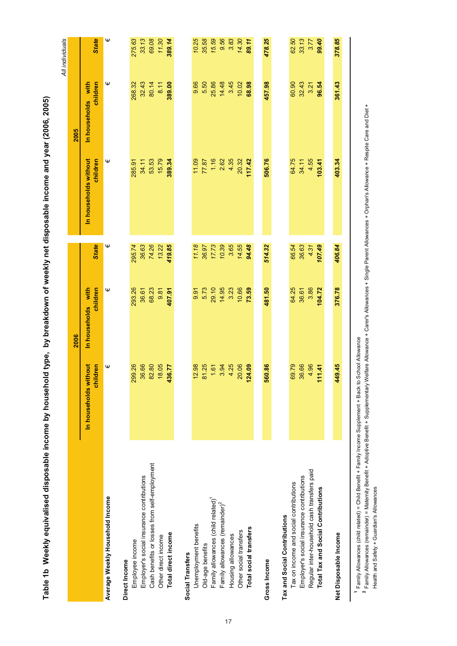|                                                |                                   |                                |              |                                   |                                | All individuals |
|------------------------------------------------|-----------------------------------|--------------------------------|--------------|-----------------------------------|--------------------------------|-----------------|
|                                                |                                   | 2006                           |              |                                   | 2005                           |                 |
|                                                | In households without<br>children | In households with<br>children | <b>State</b> | In households without<br>children | children<br>In households with | <b>State</b>    |
| Average Weekly Household Income                | Ψ                                 | Ψ                              | Ψ            | Ψ                                 | Ψ                              | Ψ               |
| Direct Income                                  |                                   |                                |              |                                   |                                |                 |
| Employee income                                | 299.26                            | 293.26                         | 295.74       | 285.91                            | 268.32                         | 275.63          |
| Employer's social insurance contributions      | 36.66                             | 36.61                          | 36.63        | 34.11                             | 32.43                          | 33.13           |
| Cash benefits or losses from self-employment   | 82.80                             | 68.23                          | 74.26        | 53.53                             | 80.14                          | 69.08           |
| Other direct income                            | 18.05                             | 9.81                           | 13.22        | 15.79                             | 8.11                           | 11.30           |
| Total direct income                            | 436.77                            | 407.91                         | 419.85       | 389.34                            | 389.00                         | 389.14          |
| Social Transfers                               |                                   |                                |              |                                   |                                |                 |
| Unemployment benefits                          | 12.98                             | 9.91                           | 11.18        | 11.09                             | 9.66                           | 10.25           |
| Old-age benefits                               | 81.25                             | 5.73                           | 36.97        | 77.87                             | 5.50                           | 35.58           |
| Family allowances (child related) <sup>1</sup> | 1.61                              | 29.10                          | 17.73        | 1.16                              | 25.86                          | 15.59           |
| Family allowances (remainder) <sup>2</sup>     | 3.94                              | 14.95                          | 10.39        | 2.62                              | 14.48                          | 9.56            |
| Housing allowances                             | 4.25                              | 3.23                           | 3.65         | 4.35                              | 3.45                           | 3.83            |
| Other social transfers                         | 20.06                             | 10.66                          | 14.55        | 20.32                             | 10.02                          | 14.30           |
| Total social transfers                         | 24.09                             | 73.59                          | 94.48        | 117.42                            | 68.98                          | 89.11           |
| Gross Income                                   | 560.86                            | 481.50                         | 514.32       | 506.76                            | 457.98                         | 478.25          |
| Tax and Social Contributions                   |                                   |                                |              |                                   |                                |                 |
| Tax on income and social contributions         | 69.79                             | 64.25                          | 66.54        | 64.75                             | 60.90                          | 62.50           |
| Employer's social insurance contributions      | 36.66                             | 36.61                          | 36.63        | 34.11                             | 32.43                          | 33.13           |
| Regular inter-household cash transfers paid    | 4.96                              | 3.86                           | 4.31         | 4.55                              | 3.21                           | 3.77            |
| Total Tax and Social Contributions             | 11.41                             | 104.72                         | 107.49       | 103.41                            | 96.54                          | 99.40           |
| Net Disposable Income                          | 449.45                            | 376.78                         | 406.84       | 403.34                            | 361.43                         | 378.85          |
|                                                |                                   |                                |              |                                   |                                |                 |
|                                                |                                   |                                |              |                                   |                                |                 |

Family Allowances (child related) = Child Benefit + Family Income Supplement + Back to School Allowance

 Family Allowances (remainder) = Maternity Benefit + Adoptive Benefit + Supplementary Welfare Allowance + Carer's Allowances + Single Parent Allowances + Orphan's Allowance + Respite Care and Diet + Health and Safety + Guardian's Allowances Health and Safety + Guardian's Allowances **12**

Table 1b Weekly equivalised disposable income by household type, by breakdown of weekly net disposable income and year (2006, 2005) Table 1b Weekly equivalised disposable income by household type, by breakdown of weekly net disposable income and year (2006, 2005)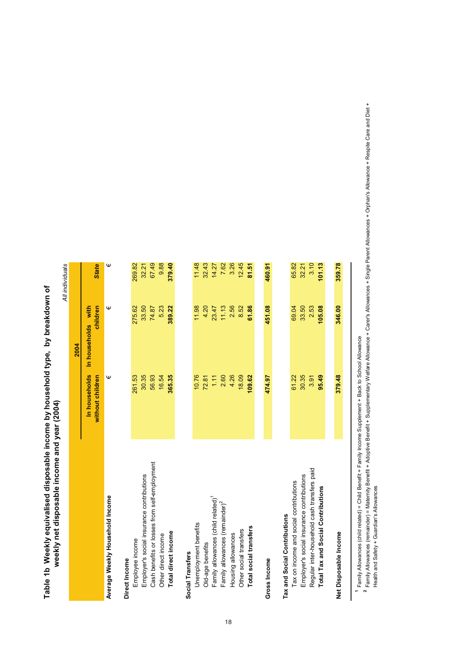| <b>.</b><br>באוגור<br>ים בל המונים ביו בל המונים של המונים המונים להתנגשות המונים המונים המונים המונים המונים המונים המונים המונים ה<br>יים<br>היים |                                                          |
|-----------------------------------------------------------------------------------------------------------------------------------------------------|----------------------------------------------------------|
| .<br>'<br>who annivalie ad dienaeshle incame hy househole<br><b>PIP DRIVERS ALS A</b><br>a 1h Maq<br>Ī<br>$\frac{2}{\lambda}$                       | .<br>٥<br>able income and year<br>"" andesodsip for Many |

|                                                |                                   |                                | All individuals |
|------------------------------------------------|-----------------------------------|--------------------------------|-----------------|
|                                                |                                   | 2004                           |                 |
|                                                | In households<br>without children | In households with<br>children | <b>State</b>    |
| Average Weekly Household Income                | Ψ                                 | Ψ                              | Ψ               |
| Direct Income                                  |                                   |                                |                 |
| Employee income                                | 261.53                            | 275.62                         | 269.82          |
| Employer's social insurance contributions      | 30.35                             | 33.50                          | 32.21           |
| Cash benefits or losses from self-employment   | 56.93                             | 74.87                          | 67.49           |
| Other direct income                            | 16.54                             | 5.23                           | 9.88            |
| Total direct income                            | 365.35                            | 389.22                         | 379.40          |
| Social Transfers                               |                                   |                                |                 |
| Unemployment benefits                          | 10.76                             | 11.98                          | 11.48           |
| Old-age benefits                               | 72.81                             | 4.20                           | 32.43           |
| Family allowances (child related) <sup>1</sup> | 1.11                              | 23.47                          | 14.27           |
| Family allowances (remainder) <sup>2</sup>     | 2.60                              | 11.13                          | 7.62            |
| Housing allowances                             | 4.26                              | 2.56                           | 3.26            |
| Other social transfers                         | 18.09                             | 8.52                           | 12.45           |
| Total social transfers                         | 109.62                            | 61.86                          | 81.51           |
|                                                |                                   |                                |                 |
| Gross Income                                   | 474.97                            | 451.08                         | 460.91          |
| Tax and Social Contributions                   |                                   |                                |                 |
| Tax on income and social contributions         | 61.22                             | 69.04                          | 65.82           |
| Employer's social insurance contributions      | 30.35                             | 33.50                          | 32.21           |
| Regular inter-household cash transfers paid    | 3.91                              | 2.53                           | 3.10            |
| Total Tax and Social Contributions             | 95.49                             | 105.08                         | 101.13          |
|                                                |                                   |                                |                 |
| Net Disposable Income                          | 379.48                            | 346.00                         | 359.78          |
|                                                |                                   |                                |                 |

<sup>1</sup> Family Allowances (child related) = Child Benefit + Family Income Supplement + Back to School Allowance Family Allowances (child related) = Child Benefit + Family Income Supplement + Back to School Allowance

2 Family Allowances (remainder) = Maternity Benefit + Adoptive Benefit + Supplementary Welfare Allowance + Carer's Allowances + Single Parent Allowances + Orphan's Allowance + Respite Care and Diet + Family Allowances (remainder) = Maternity Benefit + Adoptive Benefit + Supplementary Welfare Allowance + Carer's Allowances + Single Parent Allowances + Orphan's Allowance + Respite Care and Diet + Health and Safety + Guardian's Allowances Health and Safety + Guardian's Allowances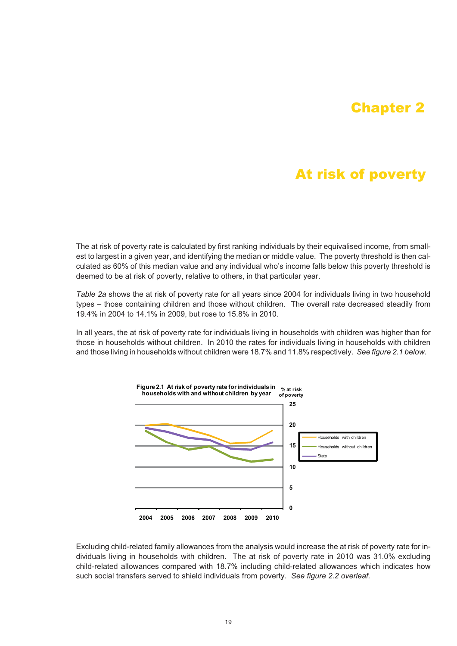# Chapter 2

# At risk of poverty

The at risk of poverty rate is calculated by first ranking individuals by their equivalised income, from smallest to largest in a given year, and identifying the median or middle value. The poverty threshold is then calculated as 60% of this median value and any individual who's income falls below this poverty threshold is deemed to be at risk of poverty, relative to others, in that particular year.

*Table 2a* shows the at risk of poverty rate for all years since 2004 for individuals living in two household types – those containing children and those without children. The overall rate decreased steadily from 19.4% in 2004 to 14.1% in 2009, but rose to 15.8% in 2010.

In all years, the at risk of poverty rate for individuals living in households with children was higher than for those in households without children. In 2010 the rates for individuals living in households with children and those living in households without children were 18.7% and 11.8% respectively. *See figure 2.1 below.*



Excluding child-related family allowances from the analysis would increase the at risk of poverty rate for individuals living in households with children. The at risk of poverty rate in 2010 was 31.0% excluding child-related allowances compared with 18.7% including child-related allowances which indicates how such social transfers served to shield individuals from poverty. *See figure 2.2 overleaf.*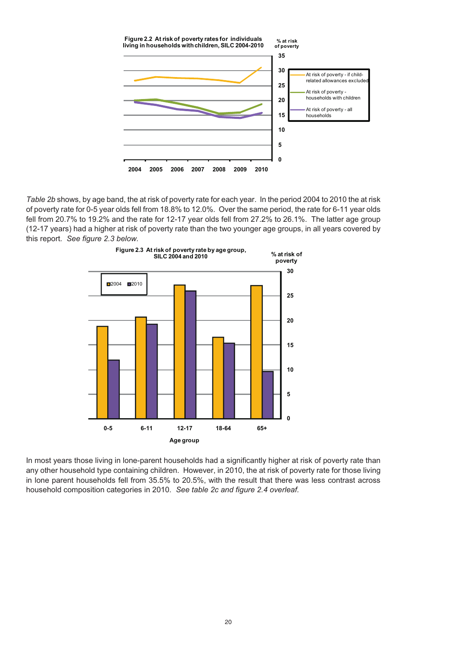

*Table 2b* shows, by age band, the at risk of poverty rate for each year. In the period 2004 to 2010 the at risk of poverty rate for 0-5 year olds fell from 18.8% to 12.0%. Over the same period, the rate for 6-11 year olds fell from 20.7% to 19.2% and the rate for 12-17 year olds fell from 27.2% to 26.1%. The latter age group (12-17 years) had a higher at risk of poverty rate than the two younger age groups, in all years covered by this report. *See figure 2.3 below.*



In most years those living in lone-parent households had a significantly higher at risk of poverty rate than any other household type containing children. However, in 2010, the at risk of poverty rate for those living in lone parent households fell from 35.5% to 20.5%, with the result that there was less contrast across household composition categories in 2010. *See table 2c and figure 2.4 overleaf.*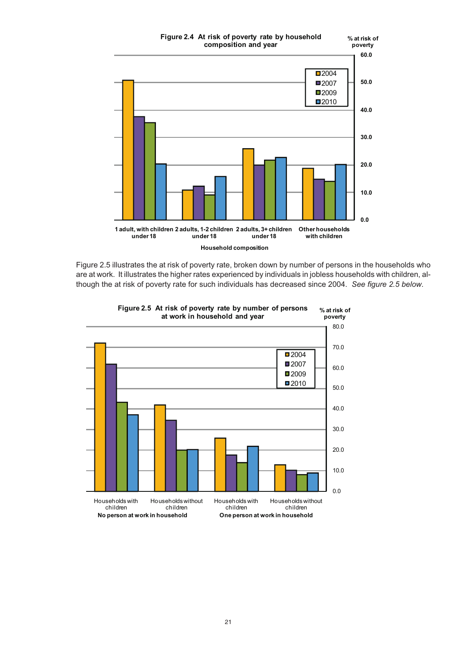

Figure 2.5 illustrates the at risk of poverty rate, broken down by number of persons in the households who are at work. It illustrates the higher rates experienced by individuals in jobless households with children, although the at risk of poverty rate for such individuals has decreased since 2004. *See figure 2.5 below.*

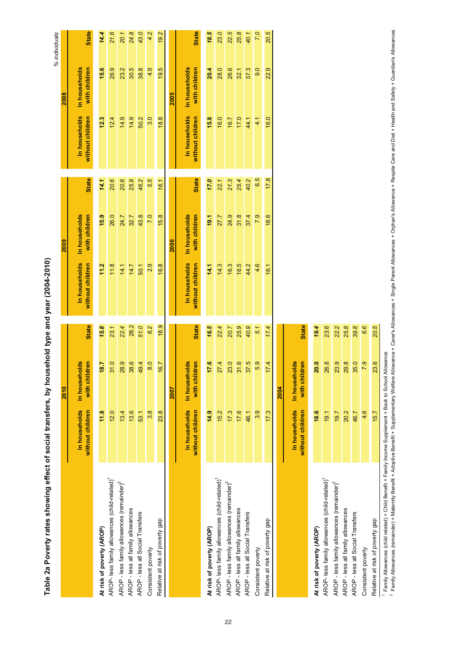| Table Za Loog In Substitute In the Sould Substitute In the Sould In the Substitute In the Sould In the Sould I |                                   |                                |              | <b>COLLANDING STREAM DIRECT DISPLAY</b> |                                |              |                                   |                                | % individuals |
|----------------------------------------------------------------------------------------------------------------|-----------------------------------|--------------------------------|--------------|-----------------------------------------|--------------------------------|--------------|-----------------------------------|--------------------------------|---------------|
|                                                                                                                |                                   | 2010                           |              |                                         | 2009                           |              |                                   | 2008                           |               |
|                                                                                                                | In households<br>without children | In households<br>with children | <b>State</b> | In households<br>without children       | In households<br>with children | <b>State</b> | In households<br>without children | In households<br>with children | <b>State</b>  |
| At risk of poverty (AROP)                                                                                      | 11.8                              | 18.7                           | 15.8         | 11.2                                    | 15.9                           | 14.1         | 12.3                              | 15.6                           | 14.4          |
| AROP- less family allowances (child-related) <sup>1</sup>                                                      | 12.0                              | 31.0                           | 23.1         | 11.8                                    | 26.0                           | 20.6         | 12.4                              | 26.9                           | 21.6          |
| AROP - less family allowances (remainder) <sup>2</sup>                                                         | 13.4                              | 28.9                           | 22.4         | 14.1                                    | 24.7                           | 20.6         | 14.9                              | 23.2                           | 20.1          |
| AROP - less all family allowances                                                                              | 13.6                              | 38.6                           | 28.2         | 14.7                                    | 32.7                           | 25.9         | 14.9                              | 30.5                           | 24.8          |
| AROP - less all Social Transfers                                                                               | 53.1                              | 49.4                           | 51.0         | 50.1                                    | 43.8                           | 46.2         | 50.2                              | 38.8                           | 43.0          |
| Consistent poverty                                                                                             | 3.8                               | 8.0                            | 6.2          | 2.9                                     | 7.0                            | 5.5          | 3.0                               | 4.9                            | 4.2           |
| Relative at risk of poverty gap                                                                                | 23.8                              | 16.7                           | 18.9         | 16.8                                    | 15.8                           | 16.1         | 18.8                              | 19.5                           | 19.2          |
|                                                                                                                |                                   | 2007                           |              |                                         | 2006                           |              |                                   | 2005                           |               |
|                                                                                                                | In households<br>without children | In households<br>with children | <b>State</b> | In households<br>without children       | In households<br>with children | <b>State</b> | In households<br>without children | In households<br>with children | <b>State</b>  |
| At risk of poverty (AROP)                                                                                      | 14.9                              | 17.6                           | 16.5         | 14.1                                    | 19.1                           | 17.0         | 15.8                              | 20.4                           | 18.5          |
| AROP- less family allowances (child-related) <sup>1</sup>                                                      | 15.2                              | 27.4                           | 22.4         | 14.3                                    | 27.7                           | 22.1         | 16.0                              | 28.0                           | 23.0          |
| AROP - less family allowances (remainder) <sup>2</sup>                                                         | 17.3                              | 23.0                           | 20.7         | 16.3                                    | 24.9                           | 21.3         | 16.7                              | 26.6                           | 22.5          |
| AROP - less all family allowances                                                                              | 17.6                              | 31.6                           | 25.9         | 16.5                                    | 31.8                           | 25.4         | 17.0                              | 32.1                           | 25.8          |
| AROP - less all Social Transfers                                                                               | 46.1                              | 37.5                           | 40.9         | 44.2                                    | 37.4                           | 40.2         | 44.1                              | 37.3                           | 40.1          |
| Consistent poverty                                                                                             | 3.9                               | 5.9                            | 5.1          | 4.6                                     | 7.9                            | 6.5          | 4,1                               | 0.6                            | 7.0           |
| Relative at risk of poverty gap                                                                                | 17.3                              | 17.4                           | 17.4         | 16.1                                    | 18.6                           | 17.8         | 16.0                              | 22.9                           | 20.5          |
|                                                                                                                |                                   | 2004                           |              |                                         |                                |              |                                   |                                |               |
|                                                                                                                | In households<br>without children | In households<br>with children | <b>State</b> |                                         |                                |              |                                   |                                |               |
| At risk of poverty (AROP)                                                                                      | 18.6                              | 20.0                           | 19.4         |                                         |                                |              |                                   |                                |               |
| AROP- less family allowances (child-related) <sup>1</sup>                                                      | 19.1                              | 26.8                           | 23.6         |                                         |                                |              |                                   |                                |               |
|                                                                                                                |                                   |                                |              |                                         |                                |              |                                   |                                |               |

effect of social transfers, by household type and year (2004-2010) Table 2a Poverty rates showing effect of social transfers, by household type and year (2004-2010) ahamina Table 2a Poverty rates

Family Allowances (child related) = Child Benefit + Family Income Supplement + Back to School Allowance

Relative at risk of poverty gap

Consistent poverty

AROP - less family allowances (remainder) $^{2}$  19.7  $^{22.2}$ AROP - less all family allowances 20.2 29.8 *25.8* AROP - less all Social Transfers 46.7 35.0 *39.8* Consistent poverty 4.6 7.9 *6.6* Relative at risk of poverty gap 15.7 23.6 *20.5*

AROP - less family allowances (remainder)<sup>2</sup>

AROP - less all family allowances AROP - less all Social Transfers

25.8 6.6 20.5

್ರ<br><u>ಇ ಇ ಇ</u>

20.2<br>46.7 19.7

7.9 23.6

4.6 15.7

22.2

 $\circ$ Family Allowances (remainder) = Maternity Benefit + Adoptive Benefit + Supplementary Welfare Allowance + Carer's Allowances + Orient Allowances + Orphan's Allowance + Respite Care and Diet + Health and Safety + Guardian's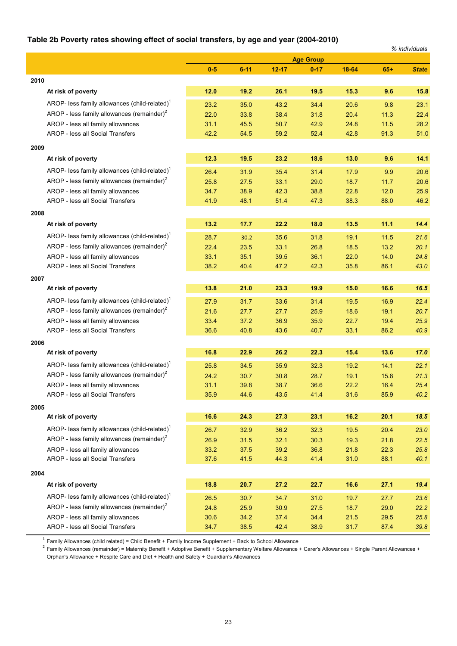### **Table 2b Poverty rates showing effect of social transfers, by age and year (2004-2010)**

|      | $\sim$ 2011 overly rated differently effect of dobial transicial, by age and year (2004 2010) |       |          |           |                  |        |       | % individuals |
|------|-----------------------------------------------------------------------------------------------|-------|----------|-----------|------------------|--------|-------|---------------|
|      |                                                                                               |       |          |           | <b>Age Group</b> |        |       |               |
|      |                                                                                               | $0-5$ | $6 - 11$ | $12 - 17$ | $0 - 17$         | 18-64  | $65+$ | <b>State</b>  |
| 2010 |                                                                                               |       |          |           |                  |        |       |               |
|      | At risk of poverty                                                                            | 12.0  | 19.2     | 26.1      | 19.5             | 15.3   | 9.6   | 15.8          |
|      | AROP- less family allowances (child-related) <sup>1</sup>                                     | 23.2  | 35.0     | 43.2      | 34.4             | 20.6   | 9.8   | 23.1          |
|      | AROP - less family allowances (remainder) <sup>2</sup>                                        | 22.0  | 33.8     | 38.4      | 31.8             | 20.4   | 11.3  | 22.4          |
|      | AROP - less all family allowances                                                             | 31.1  | 45.5     | 50.7      | 42.9             | 24.8   | 11.5  | 28.2          |
|      | <b>AROP - less all Social Transfers</b>                                                       | 42.2  | 54.5     | 59.2      | 52.4             | 42.8   | 91.3  | 51.0          |
| 2009 |                                                                                               |       |          |           |                  |        |       |               |
|      | At risk of poverty                                                                            | 12.3  | 19.5     | 23.2      | 18.6             | 13.0   | 9.6   | 14.1          |
|      | AROP- less family allowances (child-related) <sup>1</sup>                                     | 26.4  | 31.9     | 35.4      | 31.4             | 17.9   | 9.9   | 20.6          |
|      | AROP - less family allowances (remainder) $2$                                                 | 25.8  | 27.5     | 33.1      | 29.0             | 18.7   | 11.7  | 20.6          |
|      | AROP - less all family allowances                                                             | 34.7  | 38.9     | 42.3      | 38.8             | 22.8   | 12.0  | 25.9          |
|      | AROP - less all Social Transfers                                                              | 41.9  | 48.1     | 51.4      | 47.3             | 38.3   | 88.0  | 46.2          |
| 2008 |                                                                                               |       |          |           |                  |        |       |               |
|      | At risk of poverty                                                                            | 13.2  | 17.7     | 22.2      | 18.0             | 13.5   | 11.1  | 14.4          |
|      | AROP- less family allowances (child-related) <sup>1</sup>                                     | 28.7  | 30.2     | 35.6      | 31.8             | 19.1   | 11.5  | 21.6          |
|      | AROP - less family allowances (remainder) $2$                                                 | 22.4  | 23.5     | 33.1      | 26.8             | 18.5   | 13.2  | 20.1          |
|      | AROP - less all family allowances                                                             | 33.1  | 35.1     | 39.5      | 36.1             | 22.0   | 14.0  | 24.8          |
|      | AROP - less all Social Transfers                                                              | 38.2  | 40.4     | 47.2      | 42.3             | 35.8   | 86.1  | 43.0          |
| 2007 |                                                                                               |       |          |           |                  |        |       |               |
|      | At risk of poverty                                                                            | 13.8  | 21.0     | 23.3      | 19.9             | 15.0   | 16.6  | 16.5          |
|      | AROP- less family allowances (child-related) <sup>1</sup>                                     | 27.9  | 31.7     | 33.6      | 31.4             | 19.5   | 16.9  | 22.4          |
|      | AROP - less family allowances (remainder) <sup>2</sup>                                        | 21.6  | 27.7     | 27.7      | 25.9             | 18.6   | 19.1  | 20.7          |
|      | AROP - less all family allowances                                                             | 33.4  | 37.2     | 36.9      | 35.9             | 22.7   | 19.4  | 25.9          |
|      | AROP - less all Social Transfers                                                              | 36.6  | 40.8     | 43.6      | 40.7             | 33.1   | 86.2  | 40.9          |
| 2006 |                                                                                               |       |          |           |                  |        |       |               |
|      | At risk of poverty                                                                            | 16.8  | 22.9     | 26.2      | 22.3             | 15.4   | 13.6  | 17.0          |
|      | AROP- less family allowances (child-related) <sup>1</sup>                                     | 25.8  | 34.5     | 35.9      | 32.3             | 19.2   | 14.1  | 22.1          |
|      | AROP - less family allowances (remainder) $2$                                                 | 24.2  | 30.7     | 30.8      | 28.7             | 19.1   | 15.8  | 21.3          |
|      | AROP - less all family allowances                                                             | 31.1  | 39.8     | 38.7      | 36.6             | 22.2   | 16.4  | 25.4          |
|      | AROP - less all Social Transfers                                                              | 35.9  | 44.6     | 43.5      | 41.4             | 31.6   | 85.9  | 40.2          |
| 2005 |                                                                                               |       |          |           |                  |        |       |               |
|      | At risk of poverty                                                                            | 16.6  | 24.3     | 27.3      | 23.1             | $16.2$ | 20.1  | 18.5          |
|      | AROP- less family allowances (child-related) <sup>1</sup>                                     | 26.7  | 32.9     | 36.2      | 32.3             | 19.5   | 20.4  | 23.0          |
|      | AROP - less family allowances (remainder) $2$                                                 | 26.9  | 31.5     | 32.1      | 30.3             | 19.3   | 21.8  | 22.5          |
|      | AROP - less all family allowances                                                             | 33.2  | 37.5     | 39.2      | 36.8             | 21.8   | 22.3  | 25.8          |
|      | AROP - less all Social Transfers                                                              | 37.6  | 41.5     | 44.3      | 41.4             | 31.0   | 88.1  | 40.1          |
| 2004 |                                                                                               |       |          |           |                  |        |       |               |
|      | At risk of poverty                                                                            | 18.8  | 20.7     | 27.2      | 22.7             | 16.6   | 27.1  | 19.4          |
|      | AROP- less family allowances (child-related) <sup>1</sup>                                     | 26.5  | 30.7     | 34.7      | 31.0             | 19.7   | 27.7  | 23.6          |
|      | AROP - less family allowances (remainder) $2$                                                 | 24.8  | 25.9     | 30.9      | 27.5             | 18.7   | 29.0  | 22.2          |
|      | AROP - less all family allowances                                                             | 30.6  | 34.2     | 37.4      | 34.4             | 21.5   | 29.5  | 25.8          |
|      | AROP - less all Social Transfers                                                              | 34.7  | 38.5     | 42.4      | 38.9             | 31.7   | 87.4  | 39.8          |

<sup>1</sup> Family Allowances (child related) = Child Benefit + Family Income Supplement + Back to School Allowance<br><sup>2</sup> Family Allowances (remainder) = Maternity Benefit + Adoptive Benefit + Supplementary Welfare Allowance + Care Orphan's Allowance + Respite Care and Diet + Health and Safety + Guardian's Allowances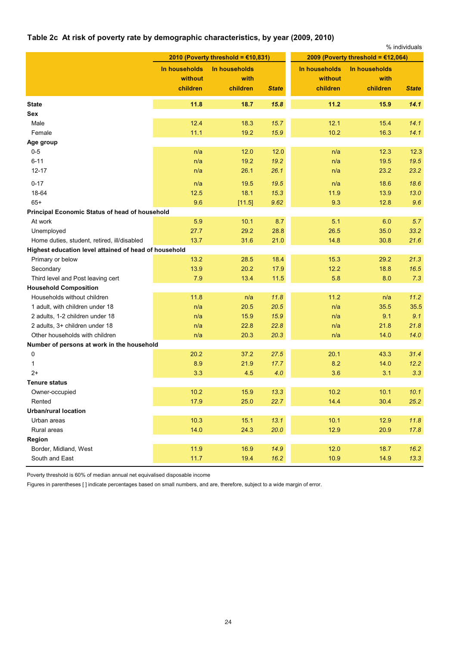### **Table 2c At risk of poverty rate by demographic characteristics, by year (2009, 2010)**

|                                                       |               |                                       |              |               |                                      | % individuals |
|-------------------------------------------------------|---------------|---------------------------------------|--------------|---------------|--------------------------------------|---------------|
|                                                       |               | 2010 (Poverty threshold = $£10,831$ ) |              |               | 2009 (Poverty threshold = $£12,064)$ |               |
|                                                       | In households | In households                         |              | In households | In households                        |               |
|                                                       | without       | with                                  |              | without       | with                                 |               |
|                                                       | children      | children                              | <b>State</b> | children      | children                             | <b>State</b>  |
| <b>State</b>                                          | 11.8          | 18.7                                  | 15.8         | 11.2          | 15.9                                 | 14.1          |
| Sex                                                   |               |                                       |              |               |                                      |               |
| Male                                                  | 12.4          | 18.3                                  | 15.7         | 12.1          | 15.4                                 | 14.1          |
| Female                                                | 11.1          | 19.2                                  | 15.9         | 10.2          | 16.3                                 | 14.1          |
| Age group                                             |               |                                       |              |               |                                      |               |
| $0 - 5$                                               | n/a           | 12.0                                  | 12.0         | n/a           | 12.3                                 | 12.3          |
| $6 - 11$                                              | n/a           | 19.2                                  | 19.2         | n/a           | 19.5                                 | 19.5          |
| $12 - 17$                                             | n/a           | 26.1                                  | 26.1         | n/a           | 23.2                                 | 23.2          |
| $0 - 17$                                              | n/a           | 19.5                                  | 19.5         | n/a           | 18.6                                 | 18.6          |
| 18-64                                                 | 12.5          | 18.1                                  | 15.3         | 11.9          | 13.9                                 | 13.0          |
| $65+$                                                 | 9.6           | [11.5]                                | 9.62         | 9.3           | 12.8                                 | 9.6           |
| <b>Principal Economic Status of head of household</b> |               |                                       |              |               |                                      |               |
| At work                                               | 5.9           | 10.1                                  | 8.7          | 5.1           | 6.0                                  | 5.7           |
| Unemployed                                            | 27.7          | 29.2                                  | 28.8         | 26.5          | 35.0                                 | 33.2          |
| Home duties, student, retired, ill/disabled           | 13.7          | 31.6                                  | 21.0         | 14.8          | 30.8                                 | 21.6          |
| Highest education level attained of head of household |               |                                       |              |               |                                      |               |
| Primary or below                                      | 13.2          | 28.5                                  | 18.4         | 15.3          | 29.2                                 | 21.3          |
| Secondary                                             | 13.9          | 20.2                                  | 17.9         | 12.2          | 18.8                                 | 16.5          |
| Third level and Post leaving cert                     | 7.9           | 13.4                                  | $11.5$       | 5.8           | 8.0                                  | 7.3           |
| <b>Household Composition</b>                          |               |                                       |              |               |                                      |               |
| Households without children                           | 11.8          | n/a                                   | 11.8         | 11.2          | n/a                                  | 11.2          |
| 1 adult, with children under 18                       | n/a           | 20.5                                  | 20.5         | n/a           | 35.5                                 | 35.5          |
| 2 adults, 1-2 children under 18                       | n/a           | 15.9                                  | 15.9         | n/a           | 9.1                                  | 9.1           |
| 2 adults, 3+ children under 18                        | n/a           | 22.8                                  | 22.8         | n/a           | 21.8                                 | 21.8          |
| Other households with children                        | n/a           | 20.3                                  | 20.3         | n/a           | 14.0                                 | 14.0          |
| Number of persons at work in the household            |               |                                       |              |               |                                      |               |
| 0                                                     | 20.2          | 37.2                                  | 27.5         | 20.1          | 43.3                                 | 31.4          |
| 1                                                     | 8.9           | 21.9                                  | 17.7         | 8.2           | 14.0                                 | 12.2          |
| $2+$                                                  | 3.3           | 4.5                                   | 4.0          | 3.6           | 3.1                                  | 3.3           |
| <b>Tenure status</b>                                  |               |                                       |              |               |                                      |               |
| Owner-occupied                                        | 10.2          | 15.9                                  | 13.3         | 10.2          | 10.1                                 | 10.1          |
| Rented                                                | 17.9          | 25.0                                  | 22.7         | 14.4          | 30.4                                 | 25.2          |
| <b>Urban/rural location</b>                           |               |                                       |              |               |                                      |               |
| Urban areas                                           | 10.3          | 15.1                                  | 13.1         | 10.1          | 12.9                                 | 11.8          |
| Rural areas                                           | 14.0          | 24.3                                  | 20.0         | 12.9          | 20.9                                 | 17.8          |
| Region                                                |               |                                       |              |               |                                      |               |
| Border, Midland, West                                 | 11.9          | 16.9                                  | 14.9         | 12.0          | 18.7                                 | 16.2          |
| South and East                                        | 11.7          | 19.4                                  | 16.2         | 10.9          | 14.9                                 | 13.3          |

Poverty threshold is 60% of median annual net equivalised disposable income

Figures in parentheses [ ] indicate percentages based on small numbers, and are, therefore, subject to a wide margin of error.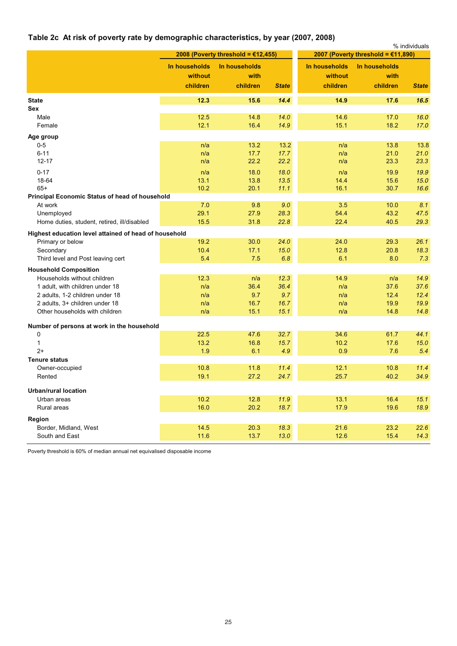# **Table 2c At risk of poverty rate by demographic characteristics, by year (2007, 2008)**

|                                                       |                                      | 2008 (Poverty threshold = €12,455) |              |                                      | 2007 (Poverty threshold = €11,890) | % individuals |
|-------------------------------------------------------|--------------------------------------|------------------------------------|--------------|--------------------------------------|------------------------------------|---------------|
|                                                       | In households<br>without<br>children | In households<br>with<br>children  | <b>State</b> | In households<br>without<br>children | In households<br>with<br>children  | <b>State</b>  |
|                                                       |                                      |                                    |              |                                      |                                    |               |
| <b>State</b><br>Sex                                   | 12.3                                 | 15.6                               | 14.4         | 14.9                                 | 17.6                               | 16.5          |
| Male                                                  | 12.5                                 | 14.8                               | 14.0         | 14.6                                 | 17.0                               | 16.0          |
| Female                                                | 12.1                                 | 16.4                               | 14.9         | 15.1                                 | 18.2                               | 17.0          |
| Age group                                             |                                      |                                    |              |                                      |                                    |               |
| $0-5$                                                 | n/a                                  | 13.2                               | 13.2         | n/a                                  | 13.8                               | 13.8          |
| $6 - 11$                                              | n/a                                  | 17.7                               | 17.7         | n/a                                  | 21.0                               | 21.0          |
| $12 - 17$                                             | n/a                                  | 22.2                               | 22.2         | n/a                                  | 23.3                               | 23.3          |
| $0 - 17$                                              | n/a                                  | 18.0                               | 18.0         | n/a                                  | 19.9                               | 19.9          |
| 18-64                                                 | 13.1                                 | 13.8                               | 13.5         | 14.4                                 | 15.6                               | 15.0          |
| $65+$                                                 | 10.2                                 | 20.1                               | 11.1         | 16.1                                 | 30.7                               | 16.6          |
| <b>Principal Economic Status of head of household</b> |                                      |                                    |              |                                      |                                    |               |
| At work                                               | 7.0                                  | 9.8                                | 9.0          | 3.5                                  | 10.0                               | 8.1           |
| Unemployed                                            | 29.1                                 | 27.9                               | 28.3         | 54.4                                 | 43.2                               | 47.5          |
| Home duties, student, retired, ill/disabled           | 15.5                                 | 31.8                               | 22.8         | 22.4                                 | 40.5                               | 29.3          |
| Highest education level attained of head of household |                                      |                                    |              |                                      |                                    |               |
| Primary or below                                      | 19.2                                 | 30.0                               | 24.0         | 24.0                                 | 29.3                               | 26.1          |
| Secondary                                             | 10.4                                 | 17.1                               | 15.0         | 12.8                                 | 20.8                               | 18.3          |
| Third level and Post leaving cert                     | 5.4                                  | 7.5                                | 6.8          | 6.1                                  | 8.0                                | 7.3           |
| <b>Household Composition</b>                          |                                      |                                    |              |                                      |                                    |               |
| Households without children                           | 12.3                                 | n/a                                | 12.3         | 14.9                                 | n/a                                | 14.9          |
| 1 adult, with children under 18                       | n/a                                  | 36.4                               | 36.4         | n/a                                  | 37.6                               | 37.6          |
| 2 adults, 1-2 children under 18                       | n/a                                  | 9.7                                | 9.7          | n/a                                  | 12.4                               | 12.4          |
| 2 adults, 3+ children under 18                        | n/a                                  | 16.7                               | 16.7         | n/a                                  | 19.9                               | 19.9          |
| Other households with children                        | n/a                                  | 15.1                               | 15.1         | n/a                                  | 14.8                               | 14.8          |
| Number of persons at work in the household            |                                      |                                    |              |                                      |                                    |               |
| 0                                                     | 22.5                                 | 47.6                               | 32.7         | 34.6                                 | 61.7                               | 44.1          |
| $\mathbf{1}$                                          | 13.2                                 | 16.8                               | 15.7         | 10.2                                 | 17.6                               | 15.0          |
| $2+$                                                  | 1.9                                  | 6.1                                | 4.9          | 0.9                                  | 7.6                                | 5.4           |
| <b>Tenure status</b>                                  |                                      |                                    |              |                                      |                                    |               |
| Owner-occupied                                        | 10.8                                 | 11.8                               | 11.4         | 12.1                                 | 10.8                               | 11.4          |
| Rented                                                | 19.1                                 | 27.2                               | 24.7         | 25.7                                 | 40.2                               | 34.9          |
| <b>Urban/rural location</b>                           |                                      |                                    |              |                                      |                                    |               |
| Urban areas                                           | 10.2                                 | 12.8                               | 11.9         | 13.1                                 | 16.4                               | 15.1          |
| Rural areas                                           | 16.0                                 | 20.2                               | 18.7         | 17.9                                 | 19.6                               | 18.9          |
|                                                       |                                      |                                    |              |                                      |                                    |               |
| Region                                                | 14.5                                 |                                    | 18.3         | 21.6                                 | 23.2                               | 22.6          |
| Border, Midland, West<br>South and East               | 11.6                                 | 20.3<br>13.7                       | 13.0         | 12.6                                 | 15.4                               | 14.3          |
|                                                       |                                      |                                    |              |                                      |                                    |               |

Poverty threshold is 60% of median annual net equivalised disposable income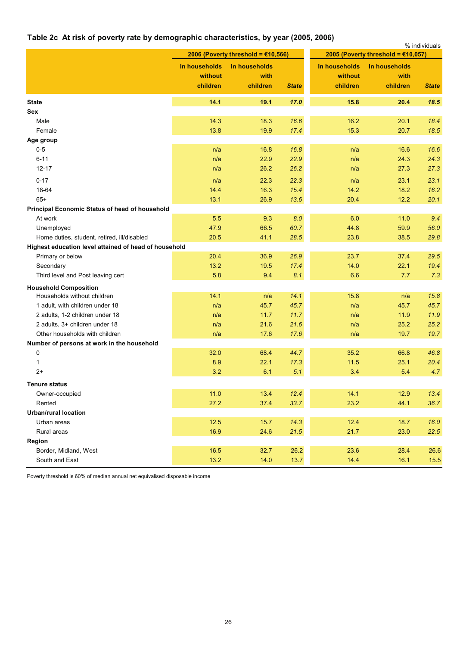# **Table 2c At risk of poverty rate by demographic characteristics, by year (2005, 2006)**

|                                                       |               |                                       |              |               |                                       | % individuals |
|-------------------------------------------------------|---------------|---------------------------------------|--------------|---------------|---------------------------------------|---------------|
|                                                       |               | 2006 (Poverty threshold = $£10,566$ ) |              |               | 2005 (Poverty threshold = $£10,057$ ) |               |
|                                                       | In households | In households                         |              | In households | In households                         |               |
|                                                       | without       | with                                  |              | without       | with                                  |               |
|                                                       | children      | children                              | <b>State</b> | children      | children                              | <b>State</b>  |
| <b>State</b>                                          | 14.1          | 19.1                                  | 17.0         | 15.8          | 20.4                                  | 18.5          |
| Sex                                                   |               |                                       |              |               |                                       |               |
| Male                                                  | 14.3          | 18.3                                  | 16.6         | 16.2          | 20.1                                  | 18.4          |
| Female                                                | 13.8          | 19.9                                  | 17.4         | 15.3          | 20.7                                  | 18.5          |
| Age group                                             |               |                                       |              |               |                                       |               |
| $0-5$                                                 | n/a           | 16.8                                  | 16.8         | n/a           | 16.6                                  | 16.6          |
| $6 - 11$                                              | n/a           | 22.9                                  | 22.9         | n/a           | 24.3                                  | 24.3          |
| $12 - 17$                                             | n/a           | 26.2                                  | 26.2         | n/a           | 27.3                                  | 27.3          |
| $0 - 17$                                              | n/a           | 22.3                                  | 22.3         | n/a           | 23.1                                  | 23.1          |
| 18-64                                                 | 14.4          | 16.3                                  | 15.4         | 14.2          | 18.2                                  | 16.2          |
| $65+$                                                 | 13.1          | 26.9                                  | 13.6         | 20.4          | 12.2                                  | 20.1          |
| Principal Economic Status of head of household        |               |                                       |              |               |                                       |               |
| At work                                               | 5.5           | 9.3                                   | 8.0          | 6.0           | 11.0                                  | 9.4           |
| Unemployed                                            | 47.9          | 66.5                                  | 60.7         | 44.8          | 59.9                                  | 56.0          |
| Home duties, student, retired, ill/disabled           | 20.5          | 41.1                                  | 28.5         | 23.8          | 38.5                                  | 29.8          |
| Highest education level attained of head of household |               |                                       |              |               |                                       |               |
| Primary or below                                      | 20.4          | 36.9                                  | 26.9         | 23.7          | 37.4                                  | 29.5          |
| Secondary                                             | 13.2          | 19.5                                  | 17.4         | 14.0          | 22.1                                  | 19.4          |
| Third level and Post leaving cert                     | 5.8           | 9.4                                   | 8.1          | 6.6           | 7.7                                   | 7.3           |
| <b>Household Composition</b>                          |               |                                       |              |               |                                       |               |
| Households without children                           | 14.1          | n/a                                   | 14.1         | 15.8          | n/a                                   | 15.8          |
| 1 adult, with children under 18                       | n/a           | 45.7                                  | 45.7         | n/a           | 45.7                                  | 45.7          |
| 2 adults, 1-2 children under 18                       | n/a           | 11.7                                  | 11.7         | n/a           | 11.9                                  | 11.9          |
| 2 adults, 3+ children under 18                        | n/a           | 21.6                                  | 21.6         | n/a           | 25.2                                  | 25.2          |
| Other households with children                        | n/a           | 17.6                                  | 17.6         | n/a           | 19.7                                  | 19.7          |
| Number of persons at work in the household            |               |                                       |              |               |                                       |               |
| 0                                                     | 32.0          | 68.4                                  | 44.7         | 35.2          | 66.8                                  | 46.8          |
| 1                                                     | 8.9           | 22.1                                  | 17.3         | $11.5$        | 25.1                                  | 20.4          |
| $2+$                                                  | 3.2           | 6.1                                   | 5.1          | 3.4           | 5.4                                   | 4.7           |
| Tenure status                                         |               |                                       |              |               |                                       |               |
| Owner-occupied                                        | 11.0          | 13.4                                  | 12.4         | 14.1          | 12.9                                  | 13.4          |
| Rented                                                | 27.2          | 37.4                                  | 33.7         | 23.2          | 44.1                                  | 36.7          |
| <b>Urban/rural location</b>                           |               |                                       |              |               |                                       |               |
| Urban areas                                           | $12.5$        | 15.7                                  | 14.3         | 12.4          | 18.7                                  | 16.0          |
| Rural areas                                           | 16.9          | 24.6                                  | 21.5         | 21.7          | 23.0                                  | 22.5          |
| Region                                                |               |                                       |              |               |                                       |               |
| Border, Midland, West                                 | 16.5          | 32.7                                  | 26.2         | 23.6          | 28.4                                  | 26.6          |
| South and East                                        | 13.2          | $14.0$                                | $13.7$       | 14.4          | 16.1                                  | 15.5          |

Poverty threshold is 60% of median annual net equivalised disposable income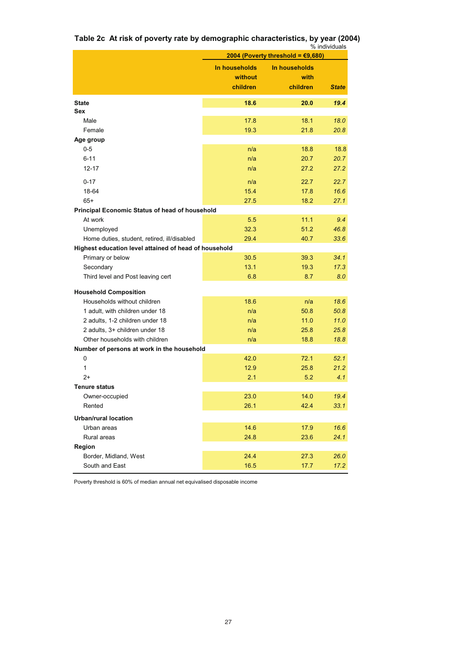**Table 2c At risk of poverty rate by demographic characteristics, by year (2004)** % individuals

|                                                       | 2004 (Poverty threshold = €9,680)    |                                   |              |  |  |
|-------------------------------------------------------|--------------------------------------|-----------------------------------|--------------|--|--|
|                                                       | In households<br>without<br>children | In households<br>with<br>children | <b>State</b> |  |  |
|                                                       |                                      |                                   |              |  |  |
| <b>State</b>                                          | 18.6                                 | 20.0                              | 19.4         |  |  |
| Sex                                                   |                                      |                                   |              |  |  |
| Male                                                  | 17.8                                 | 18.1                              | 18.0         |  |  |
| Female                                                | 19.3                                 | 21.8                              | 20.8         |  |  |
| Age group                                             |                                      |                                   |              |  |  |
| $0-5$                                                 | n/a                                  | 18.8                              | 18.8         |  |  |
| 6-11                                                  | n/a                                  | 20.7                              | 20.7         |  |  |
| $12 - 17$                                             | n/a                                  | 27.2                              | 27.2         |  |  |
| $0 - 17$                                              | n/a                                  | 22.7                              | 22.7         |  |  |
| 18-64                                                 | 15.4                                 | 17.8                              | 16.6         |  |  |
| $65+$                                                 | 27.5                                 | 18.2                              | 27.1         |  |  |
| Principal Economic Status of head of household        |                                      |                                   |              |  |  |
| At work                                               | 5.5                                  | 11.1                              | 9.4          |  |  |
| Unemployed                                            | 32.3                                 | 51.2                              | 46.8         |  |  |
| Home duties, student, retired, ill/disabled           | 29.4                                 | 40.7                              | 33.6         |  |  |
| Highest education level attained of head of household |                                      |                                   |              |  |  |
| Primary or below                                      | 30.5                                 | 39.3                              | 34.1         |  |  |
| Secondary                                             | 13.1                                 | 19.3                              | 17.3         |  |  |
| Third level and Post leaving cert                     | 6.8                                  | 8.7                               | 8.0          |  |  |
| <b>Household Composition</b>                          |                                      |                                   |              |  |  |
| Households without children                           | 18.6                                 | n/a                               | 18.6         |  |  |
| 1 adult, with children under 18                       | n/a                                  | 50.8                              | 50.8         |  |  |
| 2 adults, 1-2 children under 18                       | n/a                                  | 11.0                              | 11.0         |  |  |
| 2 adults, 3+ children under 18                        | n/a                                  | 25.8                              | 25.8         |  |  |
| Other households with children                        | n/a                                  | 18.8                              | 18.8         |  |  |
| Number of persons at work in the household            |                                      |                                   |              |  |  |
| 0                                                     | 42.0                                 | 72.1                              | 52.1         |  |  |
| 1                                                     | 12.9                                 | 25.8                              | 21.2         |  |  |
| 2+                                                    | 2.1                                  | 5.2                               | 4.1          |  |  |
| <b>Tenure status</b>                                  |                                      |                                   |              |  |  |
| Owner-occupied                                        | 23.0                                 | 14.0                              | 19.4         |  |  |
| Rented                                                | 26.1                                 | 42.4                              | 33.1         |  |  |
| <b>Urban/rural location</b>                           |                                      |                                   |              |  |  |
| Urban areas                                           | 14.6                                 | 17.9                              | 16.6         |  |  |
| Rural areas                                           | 24.8                                 | 23.6                              | 24.1         |  |  |
| Region                                                |                                      |                                   |              |  |  |
| Border, Midland, West                                 | 24.4                                 | 27.3                              | 26.0         |  |  |
| South and East                                        | 16.5                                 | 17.7                              | 17.2         |  |  |

Poverty threshold is 60% of median annual net equivalised disposable income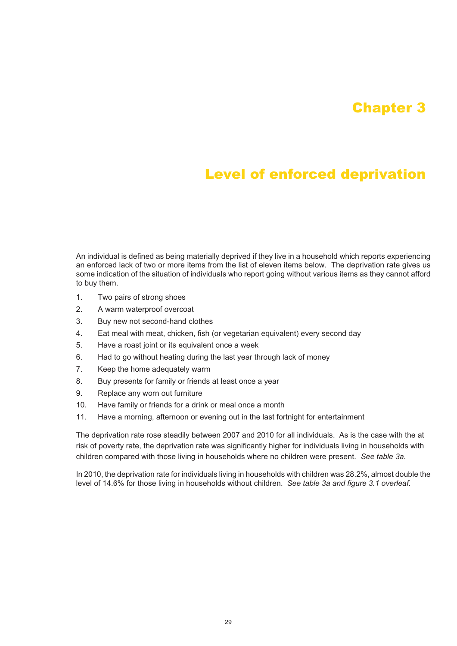# Chapter 3

# Level of enforced deprivation

An individual is defined as being materially deprived if they live in a household which reports experiencing an enforced lack of two or more items from the list of eleven items below. The deprivation rate gives us some indication of the situation of individuals who report going without various items as they cannot afford to buy them.

- 1. Two pairs of strong shoes
- 2. A warm waterproof overcoat
- 3. Buy new not second-hand clothes
- 4. Eat meal with meat, chicken, fish (or vegetarian equivalent) every second day
- 5. Have a roast joint or its equivalent once a week
- 6. Had to go without heating during the last year through lack of money
- 7. Keep the home adequately warm
- 8. Buy presents for family or friends at least once a year
- 9. Replace any worn out furniture
- 10. Have family or friends for a drink or meal once a month
- 11. Have a morning, afternoon or evening out in the last fortnight for entertainment

The deprivation rate rose steadily between 2007 and 2010 for all individuals. As is the case with the at risk of poverty rate, the deprivation rate was significantly higher for individuals living in households with children compared with those living in households where no children were present. *See table 3a.*

In 2010, the deprivation rate for individuals living in households with children was 28.2%, almost double the level of 14.6% for those living in households without children. *See table 3a and figure 3.1 overleaf.*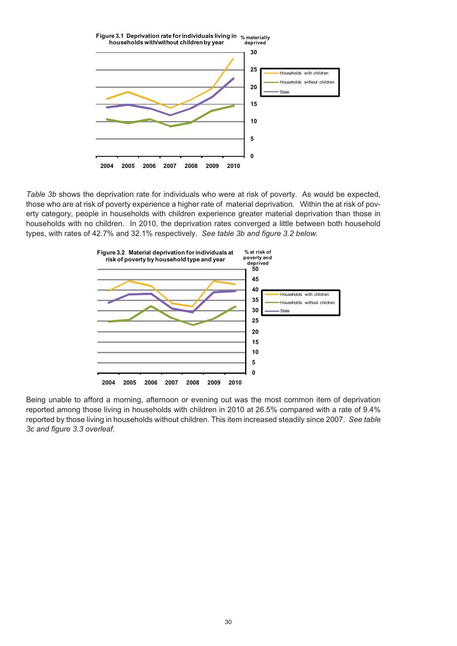

*Table 3b* shows the deprivation rate for individuals who were at risk of poverty. As would be expected, those who are at risk of poverty experience a higher rate of material deprivation. Within the at risk of poverty category, people in households with children experience greater material deprivation than those in households with no children. In 2010, the deprivation rates converged a little between both household types, with rates of 42.7% and 32.1% respectively. *See table 3b and figure 3.2 below.*



Being unable to afford a morning, afternoon or evening out was the most common item of deprivation reported among those living in households with children in 2010 at 26.5% compared with a rate of 9.4% reported by those living in households without children. This item increased steadily since 2007. *See table 3c and figure 3.3 overleaf.*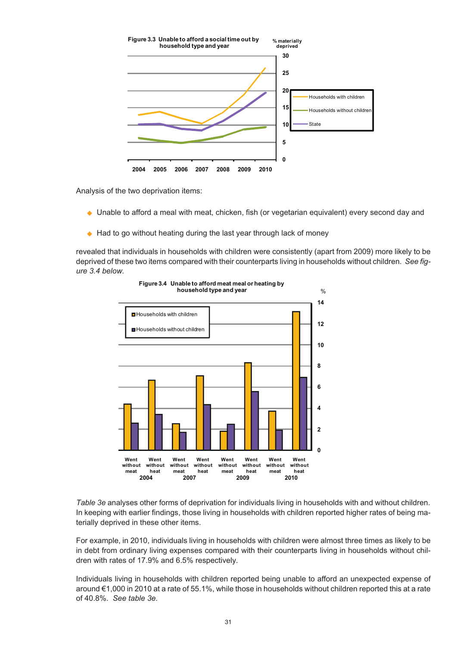

Analysis of the two deprivation items:

- Unable to afford a meal with meat, chicken, fish (or vegetarian equivalent) every second day and
- ◆ Had to go without heating during the last year through lack of money

revealed that individuals in households with children were consistently (apart from 2009) more likely to be deprived of these two items compared with their counterparts living in households without children. *See figure 3.4 below.*



*Table 3e* analyses other forms of deprivation for individuals living in households with and without children. In keeping with earlier findings, those living in households with children reported higher rates of being materially deprived in these other items.

For example, in 2010, individuals living in households with children were almost three times as likely to be in debt from ordinary living expenses compared with their counterparts living in households without children with rates of 17.9% and 6.5% respectively.

Individuals living in households with children reported being unable to afford an unexpected expense of around €1,000 in 2010 at a rate of 55.1%, while those in households without children reported this at a rate of 40.8%. *See table 3e.*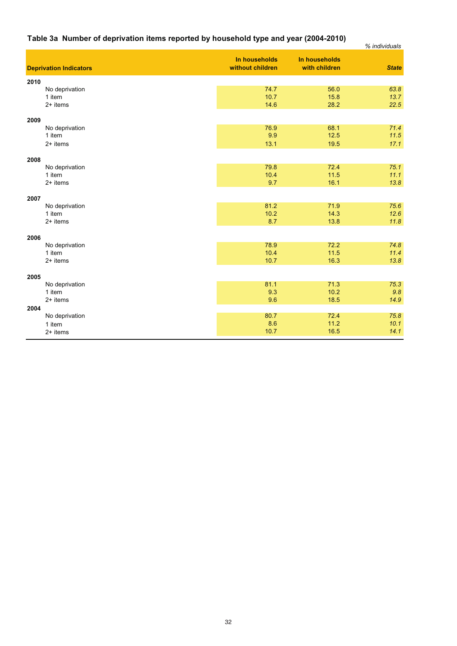# **Table 3a Number of deprivation items reported by household type and year (2004-2010)**

| Table 3a Number of deprivation items reported by household type and year (2004-2010) |                                   |                                | % individuals |
|--------------------------------------------------------------------------------------|-----------------------------------|--------------------------------|---------------|
| <b>Deprivation Indicators</b>                                                        | In households<br>without children | In households<br>with children | <b>State</b>  |
| 2010                                                                                 |                                   |                                |               |
| No deprivation                                                                       | 74.7                              | 56.0                           | 63.8          |
| 1 item                                                                               | 10.7                              | 15.8                           | 13.7          |
| 2+ items                                                                             | 14.6                              | 28.2                           | 22.5          |
| 2009                                                                                 |                                   |                                |               |
| No deprivation                                                                       | 76.9                              | 68.1                           | 71.4          |
| 1 item                                                                               | 9.9                               | 12.5                           | 11.5          |
| $2+$ items                                                                           | 13.1                              | 19.5                           | 17.1          |
| 2008                                                                                 |                                   |                                |               |
| No deprivation                                                                       | 79.8                              | 72.4                           | 75.1          |
| 1 item                                                                               | 10.4                              | 11.5                           | 11.1          |
| $2+$ items                                                                           | 9.7                               | 16.1                           | 13.8          |
| 2007                                                                                 |                                   |                                |               |
| No deprivation                                                                       | 81.2                              | 71.9                           | 75.6          |
| 1 item                                                                               | 10.2                              | 14.3                           | 12.6          |
| $2+$ items                                                                           | 8.7                               | 13.8                           | 11.8          |
| 2006                                                                                 |                                   |                                |               |
| No deprivation                                                                       | 78.9                              | 72.2                           | 74.8          |
| 1 item                                                                               | 10.4                              | 11.5                           | 11.4          |
| 2+ items                                                                             | 10.7                              | 16.3                           | 13.8          |
| 2005                                                                                 |                                   |                                |               |
| No deprivation                                                                       | 81.1                              | 71.3                           | 75.3          |
| 1 item                                                                               | 9.3                               | 10.2                           | 9.8           |
| 2+ items                                                                             | 9.6                               | 18.5                           | 14.9          |
| 2004                                                                                 |                                   |                                |               |
| No deprivation                                                                       | 80.7                              | 72.4                           | 75.8          |
| 1 item                                                                               | 8.6                               | 11.2                           | 10.1          |
| 2+ items                                                                             | 10.7                              | 16.5                           | 14.1          |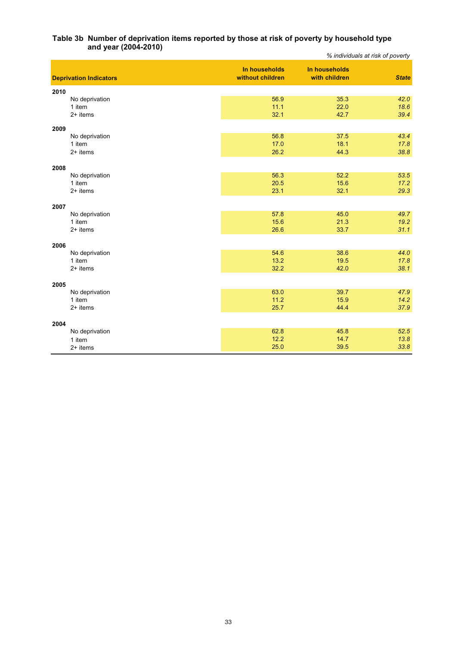### **and year (2004-2010)** *% individuals at risk of poverty* **Table 3b Number of deprivation items reported by those at risk of poverty by household type**

|                               |                                   |                                | % individuals at risk of poverty |
|-------------------------------|-----------------------------------|--------------------------------|----------------------------------|
| <b>Deprivation Indicators</b> | In households<br>without children | In households<br>with children | <b>State</b>                     |
| 2010                          |                                   |                                |                                  |
| No deprivation                | 56.9                              | 35.3                           | 42.0                             |
| 1 item                        | 11.1                              | 22.0                           | 18.6                             |
| $2+$ items                    | 32.1                              | 42.7                           | 39.4                             |
| 2009                          |                                   |                                |                                  |
| No deprivation                | 56.8                              | 37.5                           | 43.4                             |
| 1 item                        | 17.0                              | 18.1                           | 17.8                             |
| 2+ items                      | 26.2                              | 44.3                           | 38.8                             |
| 2008                          |                                   |                                |                                  |
| No deprivation                | 56.3                              | 52.2                           | 53.5                             |
| 1 item                        | 20.5                              | 15.6                           | 17.2                             |
| 2+ items                      | 23.1                              | 32.1                           | 29.3                             |
|                               |                                   |                                |                                  |
| 2007<br>No deprivation        | 57.8                              | 45.0                           | 49.7                             |
| 1 item                        | 15.6                              | 21.3                           | 19.2                             |
| $2+$ items                    | 26.6                              | 33.7                           | 31.1                             |
|                               |                                   |                                |                                  |
| 2006                          |                                   |                                |                                  |
| No deprivation                | 54.6                              | 38.6                           | 44.0                             |
| 1 item                        | 13.2                              | 19.5                           | 17.8                             |
| $2+$ items                    | 32.2                              | 42.0                           | 38.1                             |
| 2005                          |                                   |                                |                                  |
| No deprivation                | 63.0                              | 39.7                           | 47.9                             |
| 1 item                        | 11.2                              | 15.9                           | 14.2                             |
| $2+$ items                    | 25.7                              | 44.4                           | 37.9                             |
| 2004                          |                                   |                                |                                  |
| No deprivation                | 62.8                              | 45.8                           | 52.5                             |
| 1 item                        | 12.2                              | 14.7                           | 13.8                             |
| $2+$ items                    | 25.0                              | 39.5                           | 33.8                             |
|                               |                                   |                                |                                  |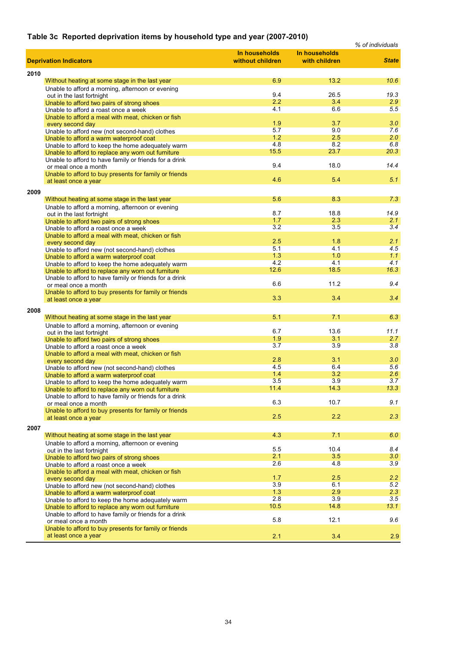# **Table 3c Reported deprivation items by household type and year (2007-2010)**

|      |                                                                                                              |                  |               | % of individuals |
|------|--------------------------------------------------------------------------------------------------------------|------------------|---------------|------------------|
|      |                                                                                                              | In households    | In households |                  |
|      | <b>Deprivation Indicators</b>                                                                                | without children | with children | <b>State</b>     |
| 2010 |                                                                                                              |                  |               |                  |
|      | Without heating at some stage in the last year                                                               | 6.9              | 13.2          | 10.6             |
|      | Unable to afford a morning, afternoon or evening                                                             |                  |               |                  |
|      | out in the last fortnight                                                                                    | 9.4              | 26.5          | 19.3             |
|      | Unable to afford two pairs of strong shoes                                                                   | 2.2              | 3.4           | 2.9              |
|      | Unable to afford a roast once a week                                                                         | 4.1              | 6.6           | 5.5              |
|      | Unable to afford a meal with meat, chicken or fish                                                           |                  |               |                  |
|      | every second day                                                                                             | 1.9              | 3.7           | 3.0              |
|      | Unable to afford new (not second-hand) clothes                                                               | 5.7              | 9.0           | 7.6              |
|      | Unable to afford a warm waterproof coat                                                                      | 1.2<br>4.8       | 2.5<br>8.2    | 2.0<br>6.8       |
|      | Unable to afford to keep the home adequately warm<br>Unable to afford to replace any worn out furniture      | 15.5             | 23.7          | 20.3             |
|      | Unable to afford to have family or friends for a drink                                                       |                  |               |                  |
|      | or meal once a month                                                                                         | 9.4              | 18.0          | 14.4             |
|      | Unable to afford to buy presents for family or friends                                                       |                  |               |                  |
|      | at least once a year                                                                                         | 4.6              | 5.4           | 5.1              |
| 2009 |                                                                                                              |                  |               |                  |
|      | Without heating at some stage in the last year                                                               | 5.6              | 8.3           | 7.3              |
|      | Unable to afford a morning, afternoon or evening                                                             |                  |               |                  |
|      | out in the last fortnight                                                                                    | 8.7              | 18.8          | 14.9             |
|      | Unable to afford two pairs of strong shoes                                                                   | 1.7              | 2.3           | 2.1              |
|      | Unable to afford a roast once a week                                                                         | 3.2              | 3.5           | 3.4              |
|      | Unable to afford a meal with meat, chicken or fish                                                           |                  |               |                  |
|      | every second day                                                                                             | 2.5              | 1.8           | 2.1              |
|      | Unable to afford new (not second-hand) clothes                                                               | 5.1              | 4.1           | 4.5              |
|      | Unable to afford a warm waterproof coat                                                                      | 1.3<br>4.2       | 1.0<br>4.1    | 1.1<br>4.1       |
|      | Unable to afford to keep the home adequately warm                                                            | 12.6             | 18.5          | 16.3             |
|      | Unable to afford to replace any worn out furniture<br>Unable to afford to have family or friends for a drink |                  |               |                  |
|      | or meal once a month                                                                                         | 6.6              | 11.2          | 9.4              |
|      | Unable to afford to buy presents for family or friends                                                       |                  |               |                  |
|      | at least once a year                                                                                         | 3.3              | 3.4           | 3.4              |
|      |                                                                                                              |                  |               |                  |
| 2008 | Without heating at some stage in the last year                                                               | 5.1              | 7.1           | 6.3              |
|      | Unable to afford a morning, afternoon or evening                                                             |                  |               |                  |
|      | out in the last fortnight                                                                                    | 6.7              | 13.6          | 11.1             |
|      | Unable to afford two pairs of strong shoes                                                                   | 1.9              | 3.1           | 2.7              |
|      | Unable to afford a roast once a week                                                                         | 3.7              | 3.9           | 3.8              |
|      | Unable to afford a meal with meat, chicken or fish                                                           |                  |               |                  |
|      | every second day                                                                                             | 2.8              | 3.1           | 3.0              |
|      | Unable to afford new (not second-hand) clothes                                                               | 4.5              | 6.4           | 5.6              |
|      | Unable to afford a warm waterproof coat                                                                      | 1.4<br>3.5       | 3.2<br>3.9    | 2.6              |
|      | Unable to afford to keep the home adequately warm                                                            | 11.4             | 14.3          | 3.7<br>13.3      |
|      | Unable to afford to replace any worn out furniture<br>Unable to afford to have family or friends for a drink |                  |               |                  |
|      | or meal once a month                                                                                         | 6.3              | 10.7          | 9.1              |
|      | Unable to afford to buy presents for family or friends                                                       |                  |               |                  |
|      | at least once a year                                                                                         | 2.5              | 2.2           | 2.3              |
| 2007 |                                                                                                              |                  |               |                  |
|      | Without heating at some stage in the last year                                                               | 4.3              | 7.1           | 6.0              |
|      | Unable to afford a morning, afternoon or evening                                                             |                  |               |                  |
|      | out in the last fortnight                                                                                    | 5.5              | 10.4          | 8.4              |
|      | Unable to afford two pairs of strong shoes                                                                   | 2.1              | 3.5           | 3.0              |
|      | Unable to afford a roast once a week                                                                         | 2.6              | 4.8           | 3.9              |
|      | Unable to afford a meal with meat, chicken or fish                                                           |                  |               |                  |
|      | every second day                                                                                             | 1.7              | 2.5           | 2.2              |
|      | Unable to afford new (not second-hand) clothes                                                               | 3.9              | 6.1           | 5.2              |
|      | Unable to afford a warm waterproof coat                                                                      | 1.3<br>2.8       | 2.9<br>3.9    | 2.3<br>3.5       |
|      | Unable to afford to keep the home adequately warm                                                            | 10.5             | 14.8          | 13.1             |
|      | Unable to afford to replace any worn out furniture<br>Unable to afford to have family or friends for a drink |                  |               |                  |
|      | or meal once a month                                                                                         | 5.8              | 12.1          | 9.6              |
|      | Unable to afford to buy presents for family or friends                                                       |                  |               |                  |
|      | at least once a year                                                                                         | 2.1              | 3.4           | 2.9              |
|      |                                                                                                              |                  |               |                  |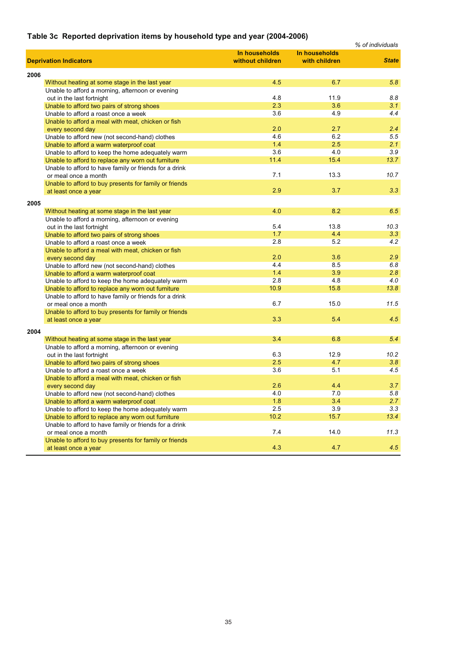# **Table 3c Reported deprivation items by household type and year (2004-2006)**

|      |                                                        |                  |               | % of individuals |
|------|--------------------------------------------------------|------------------|---------------|------------------|
|      |                                                        | In households    | In households |                  |
|      | <b>Deprivation Indicators</b>                          | without children | with children | <b>State</b>     |
|      |                                                        |                  |               |                  |
| 2006 | Without heating at some stage in the last year         | 4.5              | 6.7           | 5.8              |
|      | Unable to afford a morning, afternoon or evening       |                  |               |                  |
|      | out in the last fortnight                              | 4.8              | 11.9          | 8.8              |
|      | Unable to afford two pairs of strong shoes             | 2.3              | 3.6           | 3.1              |
|      | Unable to afford a roast once a week                   | 3.6              | 4.9           | 4.4              |
|      | Unable to afford a meal with meat, chicken or fish     |                  |               |                  |
|      | every second day                                       | 2.0              | 2.7           | 2.4              |
|      | Unable to afford new (not second-hand) clothes         | 4.6              | 6.2           | 5.5              |
|      | Unable to afford a warm waterproof coat                | 1.4              | 2.5           | 2.1              |
|      | Unable to afford to keep the home adequately warm      | 3.6              | 4.0           | 3.9              |
|      | Unable to afford to replace any worn out furniture     | 11.4             | 15.4          | 13.7             |
|      | Unable to afford to have family or friends for a drink |                  |               |                  |
|      | or meal once a month                                   | 7.1              | 13.3          | 10.7             |
|      | Unable to afford to buy presents for family or friends |                  |               |                  |
|      | at least once a year                                   | 2.9              | 3.7           | 3.3              |
|      |                                                        |                  |               |                  |
| 2005 |                                                        |                  |               |                  |
|      | Without heating at some stage in the last year         | 4.0              | 8.2           | 6.5              |
|      | Unable to afford a morning, afternoon or evening       |                  |               |                  |
|      | out in the last fortnight                              | 5.4              | 13.8          | 10.3             |
|      | Unable to afford two pairs of strong shoes             | 1.7              | 4.4           | 3.3              |
|      | Unable to afford a roast once a week                   | 2.8              | 5.2           | 4.2              |
|      | Unable to afford a meal with meat, chicken or fish     |                  |               |                  |
|      | every second day                                       | 2.0              | 3.6           | 2.9              |
|      | Unable to afford new (not second-hand) clothes         | 4.4              | 8.5           | 6.8              |
|      | Unable to afford a warm waterproof coat                | 1.4              | 3.9           | 2.8              |
|      | Unable to afford to keep the home adequately warm      | 2.8              | 4.8           | 4.0              |
|      | Unable to afford to replace any worn out furniture     | 10.9             | 15.8          | 13.8             |
|      | Unable to afford to have family or friends for a drink |                  |               |                  |
|      | or meal once a month                                   | 6.7              | 15.0          | 11.5             |
|      | Unable to afford to buy presents for family or friends |                  |               |                  |
|      | at least once a year                                   | 3.3              | 5.4           | 4.5              |
| 2004 |                                                        |                  |               |                  |
|      | Without heating at some stage in the last year         | 3.4              | 6.8           | 5.4              |
|      | Unable to afford a morning, afternoon or evening       |                  |               |                  |
|      | out in the last fortnight                              | 6.3              | 12.9          | 10.2             |
|      | Unable to afford two pairs of strong shoes             | 2.5              | 4.7           | 3.8              |
|      | Unable to afford a roast once a week                   | 3.6              | 5.1           | 4.5              |
|      | Unable to afford a meal with meat, chicken or fish     |                  |               |                  |
|      | every second day                                       | 2.6              | 4.4           | 3.7              |
|      | Unable to afford new (not second-hand) clothes         | 4.0              | 7.0           | 5.8              |
|      | Unable to afford a warm waterproof coat                | 1.8              | 3.4           | 2.7              |
|      | Unable to afford to keep the home adequately warm      | 2.5              | 3.9           | 3.3              |
|      | Unable to afford to replace any worn out furniture     | 10.2             | 15.7          | 13.4             |
|      | Unable to afford to have family or friends for a drink |                  |               |                  |
|      | or meal once a month                                   | 7.4              | 14.0          | 11.3             |
|      | Unable to afford to buy presents for family or friends |                  |               |                  |
|      | at least once a year                                   | 4.3              | 4.7           | 4.5              |
|      |                                                        |                  |               |                  |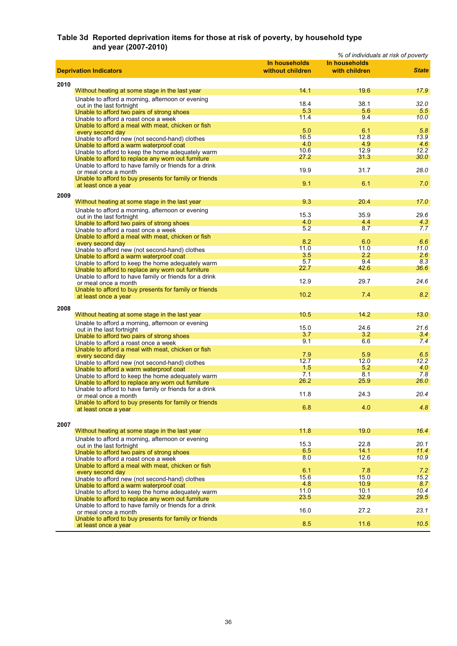### **Table 3d Reported deprivation items for those at risk of poverty, by household type and year (2007-2010)**

|      |                                                                                    |                  | % of individuals at risk of poverty |              |
|------|------------------------------------------------------------------------------------|------------------|-------------------------------------|--------------|
|      |                                                                                    | In households    | In households                       |              |
|      | <b>Deprivation Indicators</b>                                                      | without children | with children                       | <b>State</b> |
|      |                                                                                    |                  |                                     |              |
| 2010 |                                                                                    |                  |                                     |              |
|      | Without heating at some stage in the last year                                     | 14.1             | 19.6                                | 17.9         |
|      | Unable to afford a morning, afternoon or evening                                   | 18.4             | 38.1                                | 32.0         |
|      | out in the last fortnight                                                          | 5.3              | 5.6                                 | 5.5          |
|      | Unable to afford two pairs of strong shoes                                         | 11.4             | 9.4                                 | 10.0         |
|      | Unable to afford a roast once a week                                               |                  |                                     |              |
|      | Unable to afford a meal with meat, chicken or fish<br>every second day             | 5.0              | 6.1                                 | 5.8          |
|      | Unable to afford new (not second-hand) clothes                                     | 16.5             | 12.8                                | 13.9         |
|      | Unable to afford a warm waterproof coat                                            | 4.0              | 4.9                                 | 4.6          |
|      | Unable to afford to keep the home adequately warm                                  | 10.6             | 12.9                                | 12.2         |
|      | Unable to afford to replace any worn out furniture                                 | 27.2             | 31.3                                | 30.0         |
|      | Unable to afford to have family or friends for a drink                             |                  |                                     |              |
|      | or meal once a month                                                               | 19.9             | 31.7                                | 28.0         |
|      | Unable to afford to buy presents for family or friends                             |                  |                                     |              |
|      | at least once a year                                                               | 9.1              | 6.1                                 | 7.0          |
| 2009 |                                                                                    |                  |                                     |              |
|      | Without heating at some stage in the last year                                     | 9.3              | 20.4                                | 17.0         |
|      |                                                                                    |                  |                                     |              |
|      | Unable to afford a morning, afternoon or evening                                   | 15.3             | 35.9                                | 29.6         |
|      | out in the last fortnight<br>Unable to afford two pairs of strong shoes            | 4.0              | 4.4                                 | 4.3          |
|      | Unable to afford a roast once a week                                               | 5.2              | 8.7                                 | 7.7          |
|      | Unable to afford a meal with meat, chicken or fish                                 |                  |                                     |              |
|      | every second day                                                                   | 8.2              | 6.0                                 | 6.6          |
|      | Unable to afford new (not second-hand) clothes                                     | 11.0             | 11.0                                | 11.0         |
|      | Unable to afford a warm waterproof coat                                            | 3.5              | 2.2                                 | 2.6          |
|      | Unable to afford to keep the home adequately warm                                  | 5.7              | 9.4                                 | 8.3          |
|      | Unable to afford to replace any worn out furniture                                 | 22.7             | 42.6                                | 36.6         |
|      | Unable to afford to have family or friends for a drink                             |                  |                                     |              |
|      | or meal once a month                                                               | 12.9             | 29.7                                | 24.6         |
|      | Unable to afford to buy presents for family or friends                             |                  |                                     |              |
|      | at least once a year                                                               | 10.2             | 7.4                                 | 8.2          |
|      |                                                                                    |                  |                                     |              |
| 2008 |                                                                                    | 10.5             | 14.2                                | 13.0         |
|      | Without heating at some stage in the last year                                     |                  |                                     |              |
|      | Unable to afford a morning, afternoon or evening                                   | 15.0             | 24.6                                | 21.6         |
|      | out in the last fortnight                                                          | 3.7              | 3.2                                 | 3.4          |
|      | Unable to afford two pairs of strong shoes<br>Unable to afford a roast once a week | 9.1              | 6.6                                 | 7.4          |
|      | Unable to afford a meal with meat, chicken or fish                                 |                  |                                     |              |
|      | every second day                                                                   | 7.9              | 5.9                                 | 6.5          |
|      | Unable to afford new (not second-hand) clothes                                     | 12.7             | 12.0                                | 12.2         |
|      | Unable to afford a warm waterproof coat                                            | 1.5              | 5.2                                 | 4.0          |
|      | Unable to afford to keep the home adequately warm                                  | 7.1              | 8.1                                 | 7.8          |
|      | Unable to afford to replace any worn out furniture                                 | 26.2             | 25.9                                | 26.0         |
|      | Unable to afford to have family or friends for a drink                             |                  |                                     |              |
|      | or meal once a month                                                               | 11.8             | 24.3                                | 20.4         |
|      | Unable to afford to buy presents for family or friends                             |                  |                                     |              |
|      | at least once a year                                                               | 6.8              | 4.0                                 | 4.8          |
|      |                                                                                    |                  |                                     |              |
| 2007 |                                                                                    |                  |                                     |              |
|      | Without heating at some stage in the last year                                     | 11.8             | 19.0                                | 16.4         |
|      | Unable to afford a morning, afternoon or evening                                   |                  |                                     |              |
|      | out in the last fortnight                                                          | 15.3             | 22.8                                | 20.1         |
|      | Unable to afford two pairs of strong shoes                                         | 6.5              | 14.1                                | 11.4         |
|      | Unable to afford a roast once a week                                               | 8.0              | 12.6                                | 10.9         |
|      | Unable to afford a meal with meat, chicken or fish                                 |                  |                                     |              |
|      | every second day                                                                   | 6.1              | 7.8                                 | 7.2          |
|      | Unable to afford new (not second-hand) clothes                                     | 15.6             | 15.0                                | 15.2         |
|      | Unable to afford a warm waterproof coat                                            | 4.8              | 10.9                                | 8.7          |
|      | Unable to afford to keep the home adequately warm                                  | 11.0<br>23.5     | 10.1<br>32.9                        | 10.4<br>29.5 |
|      | Unable to afford to replace any worn out furniture                                 |                  |                                     |              |
|      | Unable to afford to have family or friends for a drink                             | 16.0             | 27.2                                | 23.1         |
|      | or meal once a month                                                               |                  |                                     |              |
|      | Unable to afford to buy presents for family or friends                             | 8.5              | 11.6                                | 10.5         |
|      | at least once a year                                                               |                  |                                     |              |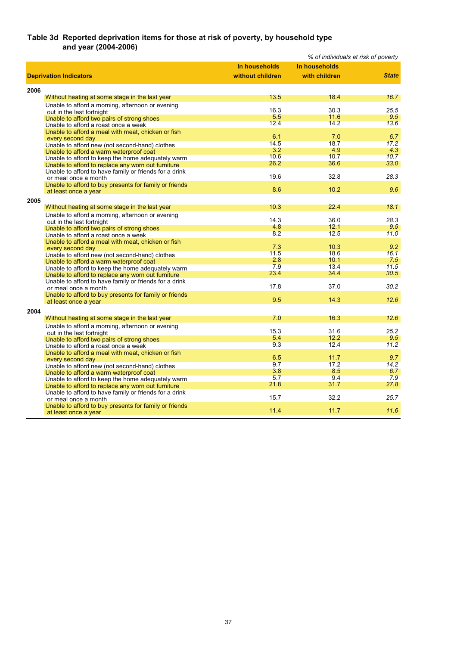### **Table 3d Reported deprivation items for those at risk of poverty, by household type and year (2004-2006)**

|      |                                                                                |                  |               | % of individuals at risk of poverty |
|------|--------------------------------------------------------------------------------|------------------|---------------|-------------------------------------|
|      |                                                                                | In households    | In households |                                     |
|      | <b>Deprivation Indicators</b>                                                  | without children | with children | <b>State</b>                        |
|      |                                                                                |                  |               |                                     |
| 2006 |                                                                                |                  |               |                                     |
|      | Without heating at some stage in the last year                                 | 13.5             | 18.4          | 16.7                                |
|      | Unable to afford a morning, afternoon or evening                               |                  |               |                                     |
|      | out in the last fortnight                                                      | 16.3             | 30.3          | 25.5                                |
|      | Unable to afford two pairs of strong shoes                                     | 5.5              | 11.6          | 9.5                                 |
|      | Unable to afford a roast once a week                                           | 12.4             | 14.2          | 13.6                                |
|      | Unable to afford a meal with meat, chicken or fish                             |                  |               |                                     |
|      | every second day                                                               | 6.1              | 7.0           | 6.7                                 |
|      | Unable to afford new (not second-hand) clothes                                 | 14.5             | 18.7          | 17.2                                |
|      | Unable to afford a warm waterproof coat                                        | 3.2              | 4.9           | 4.3                                 |
|      | Unable to afford to keep the home adequately warm                              | 10.6             | 10.7          | 10.7                                |
|      | Unable to afford to replace any worn out furniture                             | 26.2             | 36.6          | 33.0                                |
|      | Unable to afford to have family or friends for a drink                         |                  |               |                                     |
|      | or meal once a month                                                           | 19.6             | 32.8          | 28.3                                |
|      | Unable to afford to buy presents for family or friends                         | 8.6              | 10.2          | 9.6                                 |
|      | at least once a year                                                           |                  |               |                                     |
| 2005 |                                                                                |                  |               |                                     |
|      | Without heating at some stage in the last year                                 | 10.3             | 22.4          | 18.1                                |
|      | Unable to afford a morning, afternoon or evening                               |                  |               |                                     |
|      | out in the last fortnight                                                      | 14.3             | 36.0          | 28.3                                |
|      | Unable to afford two pairs of strong shoes                                     | 4.8              | 12.1          | 9.5                                 |
|      | Unable to afford a roast once a week                                           | 8.2              | 12.5          | 11.0                                |
|      | Unable to afford a meal with meat, chicken or fish                             |                  |               |                                     |
|      | every second day                                                               | 7.3              | 10.3          | 9.2                                 |
|      | Unable to afford new (not second-hand) clothes                                 | 11.5<br>2.8      | 18.6<br>10.1  | 16.1                                |
|      | Unable to afford a warm waterproof coat                                        | 7.9              | 13.4          | 7.5<br>11.5                         |
|      | Unable to afford to keep the home adequately warm                              | 23.4             | 34.4          | 30.5                                |
|      | Unable to afford to replace any worn out furniture                             |                  |               |                                     |
|      | Unable to afford to have family or friends for a drink                         | 17.8             | 37.0          | 30.2                                |
|      | or meal once a month<br>Unable to afford to buy presents for family or friends |                  |               |                                     |
|      |                                                                                | 9.5              | 14.3          | 12.6                                |
|      | at least once a year                                                           |                  |               |                                     |
| 2004 |                                                                                |                  |               |                                     |
|      | Without heating at some stage in the last year                                 | 7.0              | 16.3          | 12.6                                |
|      | Unable to afford a morning, afternoon or evening                               |                  |               |                                     |
|      | out in the last fortnight                                                      | 15.3             | 31.6          | 25.2                                |
|      | Unable to afford two pairs of strong shoes                                     | 5.4              | 12.2          | 9.5                                 |
|      | Unable to afford a roast once a week                                           | 9.3              | 12.4          | 11.2                                |
|      | Unable to afford a meal with meat, chicken or fish                             | 6.5              | 11.7          | 9.7                                 |
|      | every second day                                                               | 9.7              | 17.2          | 14.2                                |
|      | Unable to afford new (not second-hand) clothes                                 | 3.8              | 8.5           | 6.7                                 |
|      | Unable to afford a warm waterproof coat                                        | 5.7              | 9.4           | 7.9                                 |
|      | Unable to afford to keep the home adequately warm                              | 21.8             | 31.7          | 27.8                                |
|      | Unable to afford to replace any worn out furniture                             |                  |               |                                     |
|      | Unable to afford to have family or friends for a drink                         | 15.7             | 32.2          | 25.7                                |
|      | or meal once a month<br>Unable to afford to buy presents for family or friends |                  |               |                                     |
|      | at least once a year                                                           | 11.4             | 11.7          | 11.6                                |
|      |                                                                                |                  |               |                                     |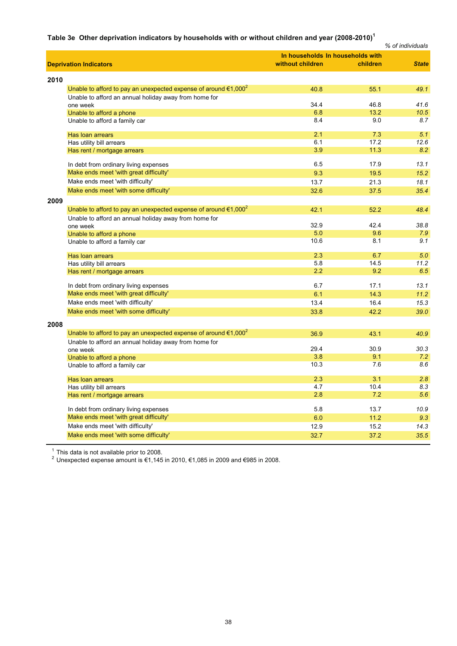### **Table 3e Other deprivation indicators by households with or without children and year (2008-2010)<sup>1</sup>**

|      |                                                                                       |                                  |          | % of individuals |
|------|---------------------------------------------------------------------------------------|----------------------------------|----------|------------------|
|      |                                                                                       | In households In households with |          |                  |
|      | <b>Deprivation Indicators</b>                                                         | without children                 | children | <b>State</b>     |
| 2010 |                                                                                       |                                  |          |                  |
|      | Unable to afford to pay an unexpected expense of around $\epsilon$ 1,000 <sup>2</sup> | 40.8                             | 55.1     | 49.1             |
|      | Unable to afford an annual holiday away from home for                                 |                                  |          |                  |
|      | one week                                                                              | 34.4                             | 46.8     | 41.6             |
|      | Unable to afford a phone                                                              | 6.8                              | 13.2     | 10.5             |
|      | Unable to afford a family car                                                         | 8.4                              | 9.0      | 8.7              |
|      | Has loan arrears                                                                      | 2.1                              | 7.3      | 5.1              |
|      | Has utility bill arrears                                                              | 6.1                              | 17.2     | 12.6             |
|      | Has rent / mortgage arrears                                                           | 3.9                              | 11.3     | 8.2              |
|      | In debt from ordinary living expenses                                                 | 6.5                              | 17.9     | 13.1             |
|      | Make ends meet 'with great difficulty'                                                | 9.3                              | 19.5     | 15.2             |
|      | Make ends meet 'with difficulty'                                                      | 13.7                             | 21.3     | 18.1             |
|      | Make ends meet 'with some difficulty'                                                 | 32.6                             | 37.5     | 35.4             |
| 2009 |                                                                                       |                                  |          |                  |
|      | Unable to afford to pay an unexpected expense of around $\epsilon$ 1,000 <sup>2</sup> | 42.1                             | 52.2     | 48.4             |
|      | Unable to afford an annual holiday away from home for                                 |                                  |          |                  |
|      | one week                                                                              | 32.9                             | 42.4     | 38.8             |
|      | Unable to afford a phone                                                              | 5.0                              | 9.6      | 7.9              |
|      | Unable to afford a family car                                                         | 10.6                             | 8.1      | 9.1              |
|      | Has loan arrears                                                                      | 2.3                              | 6.7      | 5.0              |
|      | Has utility bill arrears                                                              | 5.8                              | 14.5     | 11.2             |
|      | Has rent / mortgage arrears                                                           | 2.2                              | 9.2      | 6.5              |
|      | In debt from ordinary living expenses                                                 | 6.7                              | 17.1     | 13.1             |
|      | Make ends meet 'with great difficulty'                                                | 6.1                              | 14.3     | 11.2             |
|      | Make ends meet 'with difficulty'                                                      | 13.4                             | 16.4     | 15.3             |
|      | Make ends meet 'with some difficulty'                                                 | 33.8                             | 42.2     | 39.0             |
| 2008 |                                                                                       |                                  |          |                  |
|      | Unable to afford to pay an unexpected expense of around $\epsilon$ 1,000 <sup>2</sup> | 36.9                             | 43.1     | 40.9             |
|      | Unable to afford an annual holiday away from home for                                 |                                  |          |                  |
|      | one week                                                                              | 29.4                             | 30.9     | 30.3             |
|      | Unable to afford a phone                                                              | 3.8                              | 9.1      | 7.2              |
|      | Unable to afford a family car                                                         | 10.3                             | 7.6      | 8.6              |
|      | Has loan arrears                                                                      | 2.3                              | 3.1      | 2.8              |
|      | Has utility bill arrears                                                              | 4.7                              | 10.4     | 8.3              |
|      | Has rent / mortgage arrears                                                           | 2.8                              | 7.2      | 5.6              |
|      | In debt from ordinary living expenses                                                 | 5.8                              | 13.7     | 10.9             |
|      | Make ends meet 'with great difficulty'                                                | 6.0                              | 11.2     | 9.3              |
|      | Make ends meet 'with difficulty'                                                      | 12.9                             | 15.2     | 14.3             |
|      | Make ends meet 'with some difficulty'                                                 | 32.7                             | 37.2     | 35.5             |
|      |                                                                                       |                                  |          |                  |

 $1$  This data is not available prior to 2008.

<sup>2</sup> Unexpected expense amount is €1,145 in 2010, €1,085 in 2009 and €985 in 2008.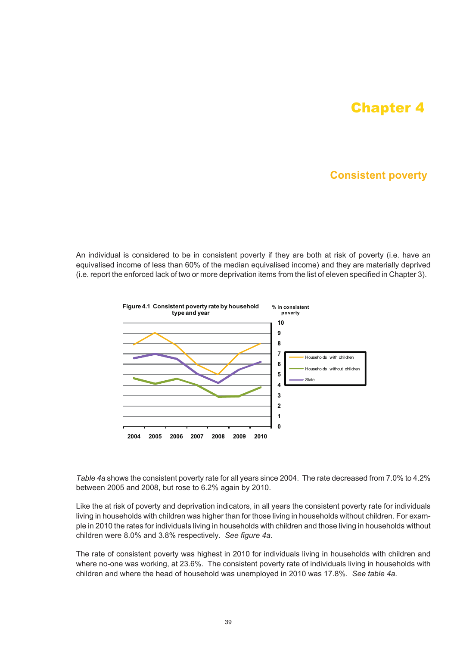# Chapter 4

# **Consistent poverty**

An individual is considered to be in consistent poverty if they are both at risk of poverty (i.e. have an equivalised income of less than 60% of the median equivalised income) and they are materially deprived (i.e. report the enforced lack of two or more deprivation items from the list of eleven specified in Chapter 3).



*Table 4a* shows the consistent poverty rate for all years since 2004. The rate decreased from 7.0% to 4.2% between 2005 and 2008, but rose to 6.2% again by 2010.

Like the at risk of poverty and deprivation indicators, in all years the consistent poverty rate for individuals living in households with children was higher than for those living in households without children. For example in 2010 the rates for individuals living in households with children and those living in households without children were 8.0% and 3.8% respectively. *See figure 4a.*

The rate of consistent poverty was highest in 2010 for individuals living in households with children and where no-one was working, at 23.6%. The consistent poverty rate of individuals living in households with children and where the head of household was unemployed in 2010 was 17.8%. *See table 4a.*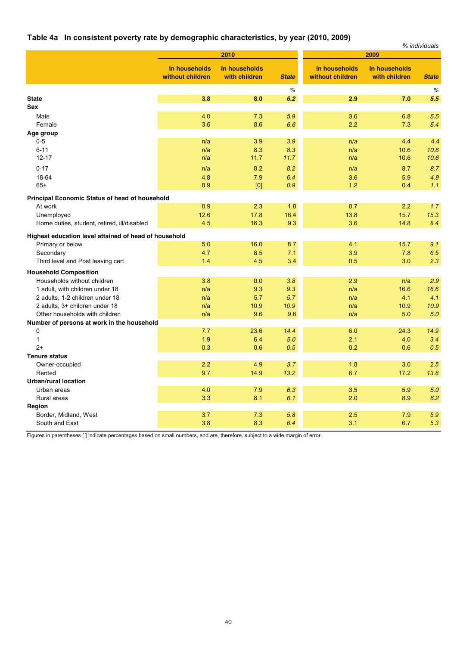### **Table 4a In consistent poverty rate by demographic characteristics, by year (2010, 2009)**

| $\cdots$ conciously potently rate by                        |                                   | $x^2 - 2x + 3x + 3x + 3x + 4x + 5x + 6$ |              |                                   |                                | % individuals |
|-------------------------------------------------------------|-----------------------------------|-----------------------------------------|--------------|-----------------------------------|--------------------------------|---------------|
|                                                             |                                   | 2010                                    |              |                                   | 2009                           |               |
|                                                             | In households<br>without children | In households<br>with children          | <b>State</b> | In households<br>without children | In households<br>with children | <b>State</b>  |
|                                                             |                                   |                                         | $\%$         |                                   |                                | $\%$          |
| <b>State</b>                                                | 3.8                               | 8.0                                     | 6.2          | 2.9                               | 7.0                            | 5.5           |
| Sex                                                         |                                   |                                         |              |                                   |                                |               |
| Male                                                        | 4.0                               | 7.3                                     | 5.9          | 3.6                               | 6.8                            | 5.5           |
| Female                                                      | 3.6                               | 8.6                                     | 6.6          | 2.2                               | 7.3                            | 5.4           |
| Age group                                                   |                                   |                                         |              |                                   |                                |               |
| $0-5$                                                       | n/a                               | 3.9                                     | 3.9          | n/a                               | 4.4                            | 4.4           |
| $6 - 11$<br>$12 - 17$                                       | n/a<br>n/a                        | 8.3<br>11.7                             | 8.3<br>11.7  | n/a<br>n/a                        | 10.6<br>10.6                   | 10.6<br>10.6  |
|                                                             |                                   |                                         |              |                                   |                                |               |
| $0 - 17$                                                    | n/a                               | 8.2                                     | 8.2          | n/a                               | 8.7                            | 8.7           |
| 18-64                                                       | 4.8                               | 7.9                                     | 6.4          | 3.6                               | 5.9                            | 4.9           |
| $65+$                                                       | 0.9                               | [0]                                     | 0.9          | 1.2                               | 0.4                            | 1.1           |
| <b>Principal Economic Status of head of household</b>       |                                   |                                         |              |                                   |                                |               |
| At work                                                     | 0.9                               | 2.3                                     | 1.8          | 0.7                               | 2.2                            | 1.7           |
| Unemployed                                                  | 12.6                              | 17.8                                    | 16.4         | 13.8                              | 15.7                           | 15.3          |
| Home duties, student, retired, ill/disabled                 | 4.5                               | 16.3                                    | 9.3          | 3.6                               | 14.8                           | 8.4           |
| Highest education level attained of head of household       |                                   |                                         |              |                                   |                                |               |
| Primary or below                                            | 5.0                               | 16.0                                    | 8.7          | 4.1                               | 15.7                           | 9.1           |
| Secondary                                                   | 4.7                               | 8.5                                     | 7.1          | 3.9                               | 7.8                            | 6.5           |
| Third level and Post leaving cert                           | 1.4                               | 4.5                                     | 3.4          | 0.5                               | 3.0                            | 2.3           |
|                                                             |                                   |                                         |              |                                   |                                |               |
| <b>Household Composition</b><br>Households without children | 3.8                               | 0.0                                     | 3.8          | 2.9                               | n/a                            | 2.9           |
| 1 adult, with children under 18                             | n/a                               | 9.3                                     | 9.3          | n/a                               | 16.6                           | 16.6          |
| 2 adults, 1-2 children under 18                             | n/a                               | 5.7                                     | 5.7          | n/a                               | 4.1                            | 4.1           |
| 2 adults, 3+ children under 18                              | n/a                               | 10.9                                    | 10.9         | n/a                               | 10.9                           | 10.9          |
| Other households with children                              | n/a                               | 9.6                                     | 9.6          | n/a                               | 5.0                            | 5.0           |
| Number of persons at work in the household                  |                                   |                                         |              |                                   |                                |               |
| 0                                                           | 7.7                               | 23.6                                    | 14.4         | 6.0                               | 24.3                           | 14.9          |
| $\mathbf{1}$                                                | 1.9                               | 6.4                                     | 5.0          | 2.1                               | 4.0                            | 3.4           |
| $2+$                                                        | 0.3                               | 0.6                                     | 0.5          | 0.2                               | 0.6                            | 0.5           |
| <b>Tenure status</b>                                        |                                   |                                         |              |                                   |                                |               |
| Owner-occupied                                              | 2.2                               | 4.9                                     | 3.7          | 1.8                               | 3.0                            | 2.5           |
| Rented                                                      | 9.7                               | 14.9                                    | 13.2         | 6.7                               | 17.2                           | 13.8          |
| <b>Urban/rural location</b>                                 |                                   |                                         |              |                                   |                                |               |
| Urban areas                                                 | 4.0                               | 7.9                                     | 6.3          | 3.5                               | 5.9                            | 5.0           |
| Rural areas                                                 | 3.3                               | 8.1                                     | 6.1          | 2.0                               | 8.9                            | 6.2           |
| Region                                                      |                                   |                                         |              |                                   |                                |               |
| Border, Midland, West                                       | 3.7                               | 7.3                                     | 5.8          | 2.5                               | 7.9                            | 5.9           |
| South and East                                              | 3.8                               | 8.3                                     | 6.4          | 3.1                               | 6.7                            | 5.3           |

Figures in parentheses [ ] indicate percentages based on small numbers, and are, therefore, subject to a wide margin of error.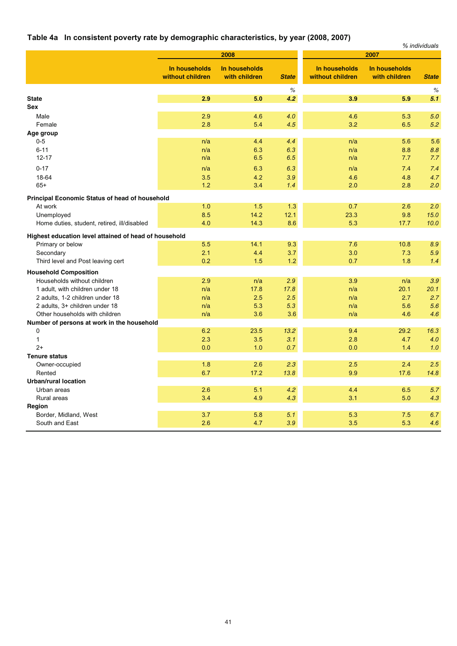# **Table 4a In consistent poverty rate by demographic characteristics, by year (2008, 2007)**

| 2008<br>2007<br>In households<br>In households<br>In households<br>In households<br>without children<br>without children<br>with children<br>with children<br><b>State</b><br><b>State</b><br>$\%$<br>$\%$<br>2.9<br>5.0<br>3.9<br><b>State</b><br>4.2<br>5.9<br>5.1<br>Sex<br>2.9<br>4.6<br>4.0<br>4.6<br>5.3<br>5.0<br>Male<br>2.8<br>3.2<br>5.4<br>4.5<br>6.5<br>5.2<br>Female |
|-----------------------------------------------------------------------------------------------------------------------------------------------------------------------------------------------------------------------------------------------------------------------------------------------------------------------------------------------------------------------------------|
|                                                                                                                                                                                                                                                                                                                                                                                   |
|                                                                                                                                                                                                                                                                                                                                                                                   |
|                                                                                                                                                                                                                                                                                                                                                                                   |
|                                                                                                                                                                                                                                                                                                                                                                                   |
|                                                                                                                                                                                                                                                                                                                                                                                   |
|                                                                                                                                                                                                                                                                                                                                                                                   |
|                                                                                                                                                                                                                                                                                                                                                                                   |
| Age group                                                                                                                                                                                                                                                                                                                                                                         |
| $0 - 5$<br>4.4<br>4.4<br>5.6<br>5.6<br>n/a<br>n/a                                                                                                                                                                                                                                                                                                                                 |
| $6 - 11$<br>8.8<br>n/a<br>6.3<br>6.3<br>n/a<br>8.8                                                                                                                                                                                                                                                                                                                                |
| $12 - 17$<br>6.5<br>6.5<br>7.7<br>7.7<br>n/a<br>n/a                                                                                                                                                                                                                                                                                                                               |
| $0 - 17$<br>6.3<br>6.3<br>7.4<br>7.4<br>n/a<br>n/a                                                                                                                                                                                                                                                                                                                                |
| 18-64<br>3.5<br>4.2<br>3.9<br>4.6<br>4.8<br>4.7                                                                                                                                                                                                                                                                                                                                   |
| $65+$<br>1.2<br>3.4<br>1.4<br>2.0<br>2.8<br>2.0                                                                                                                                                                                                                                                                                                                                   |
| Principal Economic Status of head of household                                                                                                                                                                                                                                                                                                                                    |
| 1.0<br>1.5<br>1.3<br>0.7<br>2.6<br>2.0<br>At work                                                                                                                                                                                                                                                                                                                                 |
| 8.5<br>14.2<br>12.1<br>23.3<br>9.8<br>15.0<br>Unemployed                                                                                                                                                                                                                                                                                                                          |
| 4.0<br>14.3<br>8.6<br>5.3<br>10.0<br>Home duties, student, retired, ill/disabled<br>17.7                                                                                                                                                                                                                                                                                          |
| Highest education level attained of head of household                                                                                                                                                                                                                                                                                                                             |
| 5.5<br>14.1<br>9.3<br>7.6<br>8.9<br>10.8<br>Primary or below                                                                                                                                                                                                                                                                                                                      |
| 5.9<br>2.1<br>4.4<br>3.7<br>3.0<br>7.3<br>Secondary                                                                                                                                                                                                                                                                                                                               |
| Third level and Post leaving cert<br>0.2<br>1.5<br>1.2<br>0.7<br>1.8<br>1.4                                                                                                                                                                                                                                                                                                       |
|                                                                                                                                                                                                                                                                                                                                                                                   |
| <b>Household Composition</b>                                                                                                                                                                                                                                                                                                                                                      |
| Households without children<br>2.9<br>2.9<br>3.9<br>3.9<br>n/a<br>n/a<br>17.8<br>20.1                                                                                                                                                                                                                                                                                             |
| 1 adult, with children under 18<br>n/a<br>17.8<br>n/a<br>20.1<br>2.5<br>2.5<br>2.7<br>2.7<br>n/a<br>n/a                                                                                                                                                                                                                                                                           |
| 2 adults, 1-2 children under 18<br>5.3<br>5.6<br>2 adults, 3+ children under 18<br>n/a<br>5.3<br>n/a<br>5.6                                                                                                                                                                                                                                                                       |
| 4.6<br>Other households with children<br>n/a<br>3.6<br>3.6<br>n/a<br>4.6                                                                                                                                                                                                                                                                                                          |
| Number of persons at work in the household                                                                                                                                                                                                                                                                                                                                        |
| 0<br>6.2<br>23.5<br>13.2<br>9.4<br>29.2<br>16.3                                                                                                                                                                                                                                                                                                                                   |
| $\mathbf{1}$<br>2.3<br>3.5<br>3.1<br>2.8<br>4.7<br>4.0                                                                                                                                                                                                                                                                                                                            |
| $2+$<br>0.0<br>1.0<br>0.7<br>0.0<br>1.4<br>1.0                                                                                                                                                                                                                                                                                                                                    |
| <b>Tenure status</b>                                                                                                                                                                                                                                                                                                                                                              |
| 2.5<br>2.4<br>2.5<br>1.8<br>2.6<br>2.3<br>Owner-occupied                                                                                                                                                                                                                                                                                                                          |
| 6.7<br>9.9<br>Rented<br>17.2<br>13.8<br>17.6<br>14.8                                                                                                                                                                                                                                                                                                                              |
| <b>Urban/rural location</b>                                                                                                                                                                                                                                                                                                                                                       |
| 2.6<br>5.1<br>4.2<br>4.4<br>5.7<br>Urban areas<br>6.5                                                                                                                                                                                                                                                                                                                             |
| 3.4<br>4.9<br>4.3<br>4.3<br>3.1<br>5.0<br>Rural areas                                                                                                                                                                                                                                                                                                                             |
| Region                                                                                                                                                                                                                                                                                                                                                                            |
| Border, Midland, West<br>3.7<br>5.8<br>5.1<br>5.3<br>7.5<br>6.7                                                                                                                                                                                                                                                                                                                   |
| 2.6<br>4.7<br>3.9<br>3.5<br>5.3<br>4.6<br>South and East                                                                                                                                                                                                                                                                                                                          |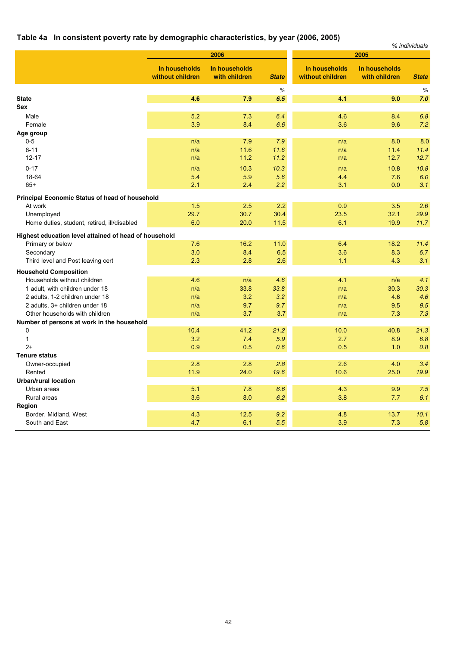# **Table 4a In consistent poverty rate by demographic characteristics, by year (2006, 2005)**

| 11.331101010111.140111.1410101.                           |                                   | apino ona. a solid.            |              |                                   |                                | % individuals |
|-----------------------------------------------------------|-----------------------------------|--------------------------------|--------------|-----------------------------------|--------------------------------|---------------|
|                                                           |                                   | 2006                           |              |                                   | 2005                           |               |
|                                                           | In households<br>without children | In households<br>with children | <b>State</b> | In households<br>without children | In households<br>with children | <b>State</b>  |
|                                                           |                                   |                                | $\%$         |                                   |                                | %             |
| <b>State</b><br><b>Sex</b>                                | 4.6                               | 7.9                            | 6.5          | 4.1                               | 9.0                            | 7.0           |
|                                                           | 5.2                               |                                | 6.4          |                                   |                                |               |
| Male<br>Female                                            | 3.9                               | 7.3<br>8.4                     | 6.6          | 4.6<br>3.6                        | 8.4<br>9.6                     | 6.8<br>7.2    |
| Age group                                                 |                                   |                                |              |                                   |                                |               |
| $0-5$                                                     | n/a                               | 7.9                            | 7.9          | n/a                               | 8.0                            | 8.0           |
| $6 - 11$                                                  | n/a                               | 11.6                           | 11.6         | n/a                               | 11.4                           | 11.4          |
| $12 - 17$                                                 | n/a                               | 11.2                           | 11.2         | n/a                               | 12.7                           | 12.7          |
| $0 - 17$                                                  | n/a                               | 10.3                           | 10.3         | n/a                               | 10.8                           | 10.8          |
| 18-64                                                     | 5.4                               | 5.9                            | 5.6          | 4.4                               | 7.6                            | 6.0           |
| $65+$                                                     | 2.1                               | 2.4                            | 2.2          | 3.1                               | 0.0                            | 3.1           |
|                                                           |                                   |                                |              |                                   |                                |               |
| Principal Economic Status of head of household            |                                   |                                |              |                                   |                                |               |
| At work                                                   | 1.5<br>29.7                       | 2.5<br>30.7                    | 2.2<br>30.4  | 0.9<br>23.5                       | 3.5<br>32.1                    | 2.6<br>29.9   |
| Unemployed<br>Home duties, student, retired, ill/disabled | 6.0                               | 20.0                           | 11.5         | 6.1                               | 19.9                           | 11.7          |
|                                                           |                                   |                                |              |                                   |                                |               |
| Highest education level attained of head of household     |                                   |                                |              |                                   |                                |               |
| Primary or below                                          | 7.6                               | 16.2                           | 11.0         | 6.4                               | 18.2                           | 11.4          |
| Secondary                                                 | 3.0                               | 8.4                            | 6.5          | 3.6                               | 8.3                            | 6.7           |
| Third level and Post leaving cert                         | 2.3                               | 2.8                            | 2.6          | 1.1                               | 4.3                            | 3.1           |
| <b>Household Composition</b>                              |                                   |                                |              |                                   |                                |               |
| Households without children                               | 4.6                               | n/a                            | 4.6          | 4.1                               | n/a                            | 4.1           |
| 1 adult, with children under 18                           | n/a                               | 33.8                           | 33.8         | n/a                               | 30.3                           | 30.3          |
| 2 adults, 1-2 children under 18                           | n/a                               | 3.2                            | 3.2          | n/a                               | 4.6                            | 4.6           |
| 2 adults, 3+ children under 18                            | n/a                               | 9.7                            | 9.7          | n/a                               | 9.5                            | 9.5           |
| Other households with children                            | n/a                               | 3.7                            | 3.7          | n/a                               | 7.3                            | 7.3           |
| Number of persons at work in the household<br>0           | 10.4                              | 41.2                           | 21.2         | 10.0                              | 40.8                           | 21.3          |
| $\mathbf{1}$                                              | 3.2                               | 7.4                            | 5.9          | 2.7                               | 8.9                            | 6.8           |
| $2+$                                                      | 0.9                               | 0.5                            | 0.6          | 0.5                               | 1.0                            | 0.8           |
| <b>Tenure status</b>                                      |                                   |                                |              |                                   |                                |               |
| Owner-occupied                                            | 2.8                               | 2.8                            | 2.8          | 2.6                               | 4.0                            | 3.4           |
| Rented                                                    | 11.9                              | 24.0                           | 19.6         | 10.6                              | 25.0                           | 19.9          |
| <b>Urban/rural location</b>                               |                                   |                                |              |                                   |                                |               |
| Urban areas                                               | 5.1                               | 7.8                            | 6.6          | 4.3                               | 9.9                            | 7.5           |
| Rural areas                                               | 3.6                               | 8.0                            | 6.2          | 3.8                               | 7.7                            | 6.1           |
| Region                                                    |                                   |                                |              |                                   |                                |               |
| Border, Midland, West                                     | 4.3                               | 12.5                           | 9.2          | 4.8                               | 13.7                           | 10.1          |
| South and East                                            | 4.7                               | 6.1                            | 5.5          | 3.9                               | 7.3                            | 5.8           |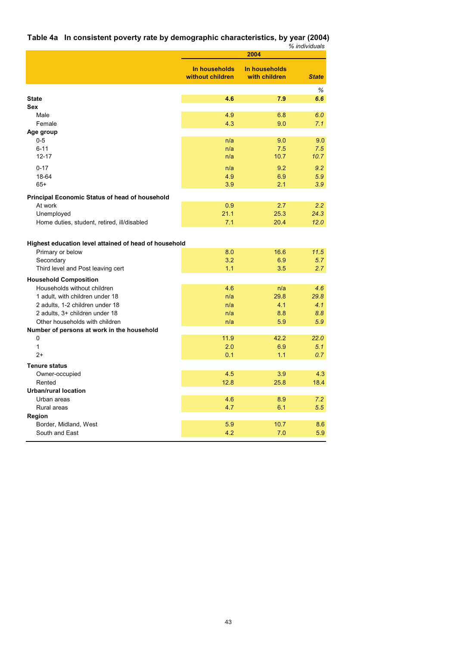| Table 4a In consistent poverty rate by demographic characteristics, by year (2004) |               |
|------------------------------------------------------------------------------------|---------------|
|                                                                                    | % individuals |
|                                                                                    |               |

|                                                       |                                   | 2004                           |              |
|-------------------------------------------------------|-----------------------------------|--------------------------------|--------------|
|                                                       | In households<br>without children | In households<br>with children | <b>State</b> |
|                                                       |                                   |                                | %            |
| <b>State</b>                                          | 4.6                               | 7.9                            | 6.6          |
| Sex                                                   |                                   |                                |              |
| Male                                                  | 4.9                               | 6.8                            | 6.0          |
| Female                                                | 4.3                               | 9.0                            | 7.1          |
| Age group                                             |                                   |                                |              |
| $0-5$                                                 | n/a                               | 9.0                            | 9.0          |
| $6 - 11$<br>$12 - 17$                                 | n/a<br>n/a                        | 7.5<br>10.7                    | 7.5<br>10.7  |
|                                                       |                                   |                                |              |
| $0 - 17$                                              | n/a                               | 9.2                            | 9.2          |
| 18-64                                                 | 4.9                               | 6.9                            | 5.9          |
| $65+$                                                 | 3.9                               | 2.1                            | 3.9          |
| <b>Principal Economic Status of head of household</b> |                                   |                                |              |
| At work                                               | 0.9                               | 2.7                            | 2.2          |
| Unemployed                                            | 21.1                              | 25.3                           | 24.3         |
| Home duties, student, retired, ill/disabled           | 7.1                               | 20.4                           | 12.0         |
|                                                       |                                   |                                |              |
| Highest education level attained of head of household |                                   |                                |              |
| Primary or below                                      | 8.0                               | 16.6                           | 11.5         |
| Secondary                                             | 3.2                               | 6.9                            | 5.7          |
| Third level and Post leaving cert                     | 1.1                               | 3.5                            | 2.7          |
|                                                       |                                   |                                |              |
| <b>Household Composition</b>                          |                                   |                                |              |
| Households without children                           | 4.6                               | n/a                            | 4.6          |
| 1 adult, with children under 18                       | n/a                               | 29.8                           | 29.8         |
| 2 adults, 1-2 children under 18                       | n/a                               | 4.1                            | 4.1          |
| 2 adults, 3+ children under 18                        | n/a                               | 8.8                            | 8.8          |
| Other households with children                        | n/a                               | 5.9                            | 5.9          |
| Number of persons at work in the household<br>0       | 11.9                              | 42.2                           | 22.0         |
| $\mathbf{1}$                                          | 2.0                               | 6.9                            | 5.1          |
| $2+$                                                  | 0.1                               | 1.1                            | 0.7          |
|                                                       |                                   |                                |              |
| <b>Tenure status</b>                                  |                                   |                                |              |
| Owner-occupied                                        | 4.5                               | 3.9                            | 4.3          |
| Rented                                                | 12.8                              | 25.8                           | 18.4         |
| <b>Urban/rural location</b>                           |                                   |                                |              |
| Urban areas<br>Rural areas                            | 4.6<br>4.7                        | 8.9<br>6.1                     | 7.2<br>5.5   |
| Region                                                |                                   |                                |              |
| Border, Midland, West                                 | 5.9                               | 10.7                           | 8.6          |
| South and East                                        | 4.2                               | 7.0                            | 5.9          |
|                                                       |                                   |                                |              |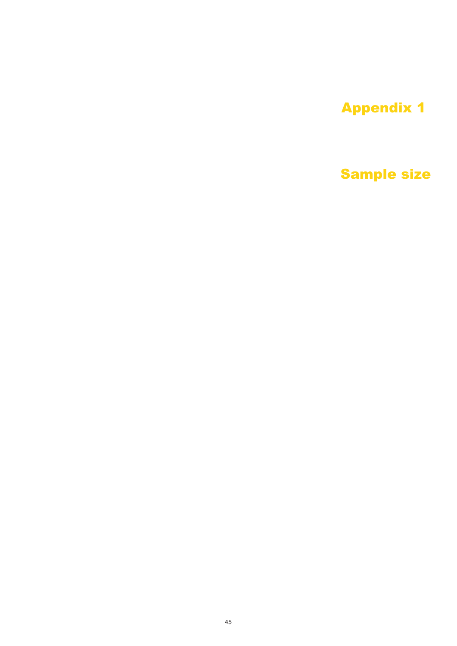# Appendix 1

# Sample size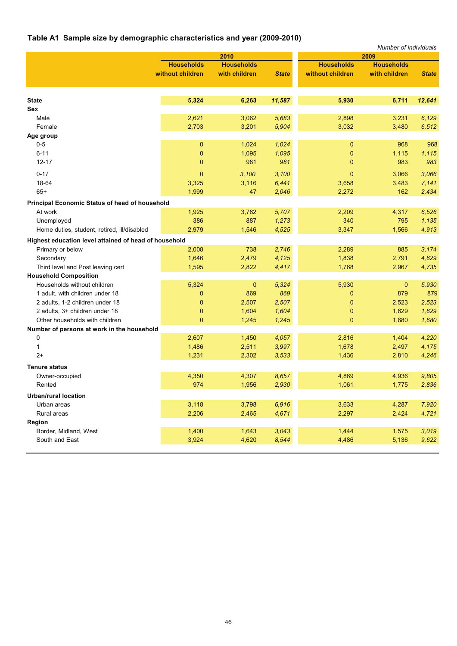# **Table A1 Sample size by demographic characteristics and year (2009-2010)**

| 2010<br>2009<br><b>Households</b><br><b>Households</b><br><b>Households</b><br><b>Households</b><br>without children<br>without children<br>with children<br><b>State</b><br>with children<br><b>State</b><br>5,324<br>6,263<br>11,587<br>5,930<br>6,711<br><b>State</b><br>12,641<br>Sex<br>5,683<br>Male<br>2,621<br>3,062<br>2,898<br>3,231<br>6,129<br>2,703<br>3,201<br>5,904<br>3,032<br>3,480<br>Female<br>6,512<br>Age group<br>$0-5$<br>$\mathbf 0$<br>1,024<br>1,024<br>0<br>968<br>968<br>$6 - 11$<br>1,095<br>1,115<br>0<br>1,095<br>0<br>1,115<br>$12 - 17$<br>983<br>983<br>$\mathbf{0}$<br>981<br>981<br>$\mathbf{0}$<br>$0 - 17$<br>$\mathbf{0}$<br>$\mathbf{0}$<br>3,100<br>3,100<br>3,066<br>3,066 |
|----------------------------------------------------------------------------------------------------------------------------------------------------------------------------------------------------------------------------------------------------------------------------------------------------------------------------------------------------------------------------------------------------------------------------------------------------------------------------------------------------------------------------------------------------------------------------------------------------------------------------------------------------------------------------------------------------------------------|
|                                                                                                                                                                                                                                                                                                                                                                                                                                                                                                                                                                                                                                                                                                                      |
|                                                                                                                                                                                                                                                                                                                                                                                                                                                                                                                                                                                                                                                                                                                      |
|                                                                                                                                                                                                                                                                                                                                                                                                                                                                                                                                                                                                                                                                                                                      |
|                                                                                                                                                                                                                                                                                                                                                                                                                                                                                                                                                                                                                                                                                                                      |
|                                                                                                                                                                                                                                                                                                                                                                                                                                                                                                                                                                                                                                                                                                                      |
|                                                                                                                                                                                                                                                                                                                                                                                                                                                                                                                                                                                                                                                                                                                      |
|                                                                                                                                                                                                                                                                                                                                                                                                                                                                                                                                                                                                                                                                                                                      |
|                                                                                                                                                                                                                                                                                                                                                                                                                                                                                                                                                                                                                                                                                                                      |
|                                                                                                                                                                                                                                                                                                                                                                                                                                                                                                                                                                                                                                                                                                                      |
|                                                                                                                                                                                                                                                                                                                                                                                                                                                                                                                                                                                                                                                                                                                      |
|                                                                                                                                                                                                                                                                                                                                                                                                                                                                                                                                                                                                                                                                                                                      |
|                                                                                                                                                                                                                                                                                                                                                                                                                                                                                                                                                                                                                                                                                                                      |
|                                                                                                                                                                                                                                                                                                                                                                                                                                                                                                                                                                                                                                                                                                                      |
| 18-64<br>3,116<br>3,325<br>6,441<br>3,658<br>3,483<br>7,141                                                                                                                                                                                                                                                                                                                                                                                                                                                                                                                                                                                                                                                          |
| $65+$<br>1,999<br>162<br>47<br>2,046<br>2,272<br>2,434                                                                                                                                                                                                                                                                                                                                                                                                                                                                                                                                                                                                                                                               |
| <b>Principal Economic Status of head of household</b>                                                                                                                                                                                                                                                                                                                                                                                                                                                                                                                                                                                                                                                                |
| At work<br>1,925<br>3,782<br>5,707<br>2,209<br>4,317<br>6,526                                                                                                                                                                                                                                                                                                                                                                                                                                                                                                                                                                                                                                                        |
| 386<br>887<br>1,273<br>340<br>795<br>1,135<br>Unemployed                                                                                                                                                                                                                                                                                                                                                                                                                                                                                                                                                                                                                                                             |
| 2,979<br>4,525<br>1,566<br>Home duties, student, retired, ill/disabled<br>1,546<br>3,347<br>4,913                                                                                                                                                                                                                                                                                                                                                                                                                                                                                                                                                                                                                    |
| Highest education level attained of head of household                                                                                                                                                                                                                                                                                                                                                                                                                                                                                                                                                                                                                                                                |
| 2,008<br>2,746<br>Primary or below<br>738<br>2,289<br>885<br>3,174                                                                                                                                                                                                                                                                                                                                                                                                                                                                                                                                                                                                                                                   |
| 1,646<br>2,479<br>4,125<br>1,838<br>2,791<br>Secondary<br>4,629                                                                                                                                                                                                                                                                                                                                                                                                                                                                                                                                                                                                                                                      |
| 1,595<br>1,768<br>Third level and Post leaving cert<br>2,822<br>4,417<br>2,967<br>4,735                                                                                                                                                                                                                                                                                                                                                                                                                                                                                                                                                                                                                              |
| <b>Household Composition</b>                                                                                                                                                                                                                                                                                                                                                                                                                                                                                                                                                                                                                                                                                         |
| Households without children<br>5,324<br>$\bf{0}$<br>5,324<br>5,930<br>0<br>5,930                                                                                                                                                                                                                                                                                                                                                                                                                                                                                                                                                                                                                                     |
| 869<br>879<br>879<br>1 adult, with children under 18<br>0<br>869<br>0                                                                                                                                                                                                                                                                                                                                                                                                                                                                                                                                                                                                                                                |
| 2 adults, 1-2 children under 18<br>2,507<br>2,507<br>2,523<br>2,523<br>0<br>0                                                                                                                                                                                                                                                                                                                                                                                                                                                                                                                                                                                                                                        |
| 1,604<br>1,629<br>2 adults, 3+ children under 18<br>0<br>1,604<br>0<br>1,629                                                                                                                                                                                                                                                                                                                                                                                                                                                                                                                                                                                                                                         |
| Other households with children<br>$\mathbf{0}$<br>1,245<br>$\mathbf{0}$<br>1,680<br>1,245<br>1,680                                                                                                                                                                                                                                                                                                                                                                                                                                                                                                                                                                                                                   |
| Number of persons at work in the household                                                                                                                                                                                                                                                                                                                                                                                                                                                                                                                                                                                                                                                                           |
| 0<br>2,607<br>1,450<br>4,057<br>2,816<br>1,404<br>4,220                                                                                                                                                                                                                                                                                                                                                                                                                                                                                                                                                                                                                                                              |
| 1,486<br>2,511<br>3,997<br>1,678<br>2,497<br>4,175<br>1                                                                                                                                                                                                                                                                                                                                                                                                                                                                                                                                                                                                                                                              |
| $2+$<br>1,231<br>2,302<br>3,533<br>1,436<br>2,810<br>4,246                                                                                                                                                                                                                                                                                                                                                                                                                                                                                                                                                                                                                                                           |
| <b>Tenure status</b>                                                                                                                                                                                                                                                                                                                                                                                                                                                                                                                                                                                                                                                                                                 |
| 4,350<br>4,307<br>8,657<br>4,869<br>4,936<br>9,805<br>Owner-occupied                                                                                                                                                                                                                                                                                                                                                                                                                                                                                                                                                                                                                                                 |
| 974<br>2,930<br>1,956<br>1,061<br>1,775<br>2,836<br>Rented                                                                                                                                                                                                                                                                                                                                                                                                                                                                                                                                                                                                                                                           |
|                                                                                                                                                                                                                                                                                                                                                                                                                                                                                                                                                                                                                                                                                                                      |
| Urban/rural location                                                                                                                                                                                                                                                                                                                                                                                                                                                                                                                                                                                                                                                                                                 |
| 3,118<br>3,798<br>6,916<br>3,633<br>4,287<br>Urban areas<br>7,920                                                                                                                                                                                                                                                                                                                                                                                                                                                                                                                                                                                                                                                    |
| 2,206<br>2,465<br>4,671<br>2,297<br>2,424<br>Rural areas<br>4,721                                                                                                                                                                                                                                                                                                                                                                                                                                                                                                                                                                                                                                                    |
| Region                                                                                                                                                                                                                                                                                                                                                                                                                                                                                                                                                                                                                                                                                                               |
| 1,400<br>3,043<br>1,444<br>Border, Midland, West<br>1,643<br>1,575<br>3,019                                                                                                                                                                                                                                                                                                                                                                                                                                                                                                                                                                                                                                          |
| 3,924<br>4,620<br>8,544<br>4,486<br>5,136<br>South and East<br>9,622                                                                                                                                                                                                                                                                                                                                                                                                                                                                                                                                                                                                                                                 |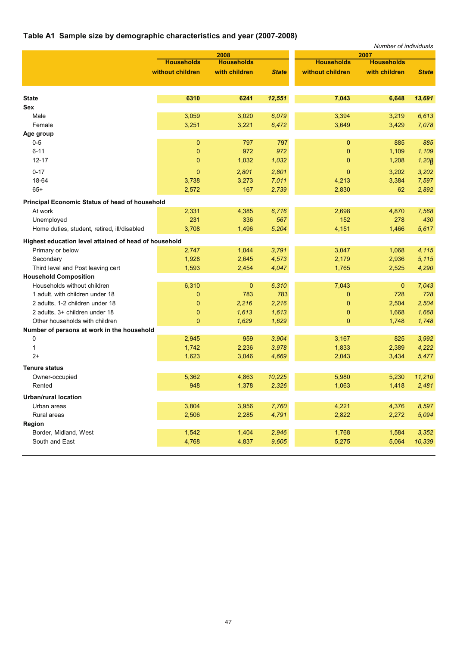# **Table A1 Sample size by demographic characteristics and year (2007-2008)**

|                                                       |                   |                   |              |                   | Number of individuals |              |
|-------------------------------------------------------|-------------------|-------------------|--------------|-------------------|-----------------------|--------------|
|                                                       |                   | 2008              |              |                   | 2007                  |              |
|                                                       | <b>Households</b> | <b>Households</b> |              | <b>Households</b> | <b>Households</b>     |              |
|                                                       | without children  | with children     | <b>State</b> | without children  | with children         | <b>State</b> |
|                                                       |                   |                   |              |                   |                       |              |
| <b>State</b>                                          | 6310              | 6241              | 12,551       | 7,043             | 6,648                 | 13,691       |
| <b>Sex</b>                                            |                   |                   |              |                   |                       |              |
| Male                                                  | 3,059             | 3,020             | 6,079        | 3,394             | 3,219                 | 6,613        |
| Female                                                | 3,251             | 3,221             | 6,472        | 3,649             | 3,429                 | 7.078        |
| Age group                                             |                   |                   |              |                   |                       |              |
| $0-5$                                                 | $\mathbf 0$       | 797               | 797          | 0                 | 885                   | 885          |
| $6 - 11$                                              | $\mathbf{0}$      | 972               | 972          | 0                 | 1,109                 | 1,109        |
| $12 - 17$                                             | $\mathbf 0$       | 1,032             | 1,032        | 0                 | 1,208                 | 1,208        |
| $0 - 17$                                              | $\mathbf{0}$      | 2,801             | 2,801        | 0                 | 3,202                 | 3,202        |
| 18-64                                                 | 3,738             | 3,273             | 7,011        | 4,213             | 3,384                 | 7,597        |
| $65+$                                                 | 2,572             | 167               | 2,739        | 2,830             | 62                    | 2,892        |
| <b>Principal Economic Status of head of household</b> |                   |                   |              |                   |                       |              |
| At work                                               | 2,331             | 4,385             | 6,716        | 2,698             | 4,870                 | 7,568        |
| Unemployed                                            | 231               | 336               | 567          | 152               | 278                   | 430          |
| Home duties, student, retired, ill/disabled           | 3,708             | 1,496             | 5,204        | 4,151             | 1,466                 | 5,617        |
| Highest education level attained of head of household |                   |                   |              |                   |                       |              |
| Primary or below                                      | 2,747             | 1,044             | 3,791        | 3,047             | 1,068                 | 4,115        |
| Secondary                                             | 1,928             | 2,645             | 4,573        | 2,179             | 2,936                 | 5,115        |
| Third level and Post leaving cert                     | 1,593             | 2,454             | 4,047        | 1,765             | 2,525                 | 4,290        |
| <b>Household Composition</b>                          |                   |                   |              |                   |                       |              |
| Households without children                           | 6,310             | $\mathbf 0$       | 6,310        | 7,043             | $\mathbf{0}$          | 7,043        |
| 1 adult, with children under 18                       | 0                 | 783               | 783          | 0                 | 728                   | 728          |
| 2 adults, 1-2 children under 18                       | $\mathbf{0}$      | 2,216             | 2,216        | 0                 | 2,504                 | 2,504        |
| 2 adults, 3+ children under 18                        | $\mathbf 0$       | 1,613             | 1,613        | 0                 | 1,668                 | 1,668        |
| Other households with children                        | $\mathbf 0$       | 1,629             | 1,629        | $\overline{0}$    | 1,748                 | 1,748        |
| Number of persons at work in the household            |                   |                   |              |                   |                       |              |
| 0                                                     | 2,945             | 959               | 3,904        | 3,167             | 825                   | 3,992        |
| 1                                                     | 1,742             | 2,236             | 3,978        | 1,833             | 2,389                 | 4,222        |
| $2+$                                                  | 1,623             | 3,046             | 4,669        | 2,043             | 3,434                 | 5,477        |
| <b>Tenure status</b>                                  |                   |                   |              |                   |                       |              |
| Owner-occupied                                        | 5,362             | 4,863             | 10,225       | 5,980             | 5,230                 | 11,210       |
| Rented                                                | 948               | 1,378             | 2,326        | 1,063             | 1,418                 | 2,481        |
| <b>Urban/rural location</b>                           |                   |                   |              |                   |                       |              |
| Urban areas                                           | 3,804             | 3,956             | 7,760        | 4,221             | 4,376                 | 8,597        |
| Rural areas                                           | 2,506             | 2,285             | 4,791        | 2,822             | 2,272                 | 5,094        |
| Region                                                |                   |                   |              |                   |                       |              |
| Border, Midland, West                                 | 1,542             | 1,404             | 2,946        | 1,768             | 1,584                 | 3,352        |
| South and East                                        | 4,768             | 4,837             | 9,605        | 5,275             | 5,064                 | 10,339       |
|                                                       |                   |                   |              |                   |                       |              |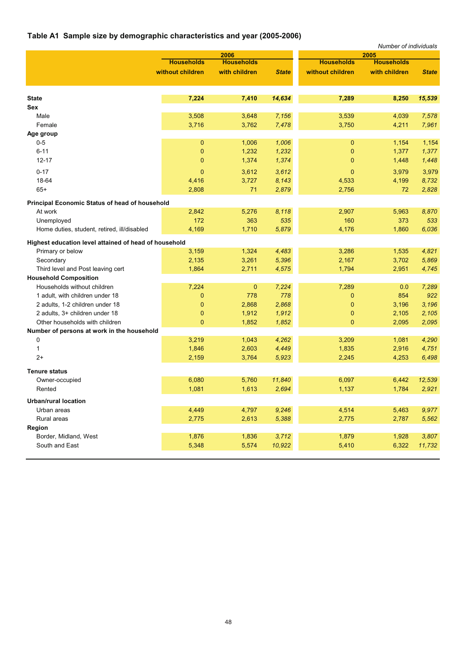# **Table A1 Sample size by demographic characteristics and year (2005-2006)**

|                                                       |                   |                   |              |                   | Number of individuals |              |
|-------------------------------------------------------|-------------------|-------------------|--------------|-------------------|-----------------------|--------------|
|                                                       |                   | 2006              |              |                   | 2005                  |              |
|                                                       | <b>Households</b> | <b>Households</b> |              | <b>Households</b> | <b>Households</b>     |              |
|                                                       | without children  | with children     | <b>State</b> | without children  | with children         | <b>State</b> |
| <b>State</b>                                          | 7,224             | 7,410             | 14,634       | 7,289             | 8,250                 | 15,539       |
| Sex                                                   |                   |                   |              |                   |                       |              |
| Male                                                  | 3,508             | 3,648             | 7,156        | 3,539             | 4,039                 | 7,578        |
| Female                                                | 3,716             | 3,762             | 7,478        | 3,750             | 4,211                 | 7,961        |
| Age group                                             |                   |                   |              |                   |                       |              |
| $0-5$                                                 | 0                 | 1,006             | 1,006        | 0                 | 1,154                 | 1,154        |
| $6 - 11$                                              | $\mathbf{0}$      | 1,232             | 1,232        | 0                 | 1,377                 | 1,377        |
| $12 - 17$                                             | $\mathbf 0$       | 1,374             | 1,374        | 0                 | 1,448                 | 1,448        |
| $0 - 17$                                              | $\mathbf{0}$      | 3,612             | 3,612        | $\mathbf{0}$      | 3,979                 | 3,979        |
| 18-64                                                 | 4,416             | 3,727             | 8,143        | 4,533             | 4,199                 | 8,732        |
| $65+$                                                 | 2,808             | 71                | 2,879        | 2,756             | 72                    | 2,828        |
|                                                       |                   |                   |              |                   |                       |              |
| <b>Principal Economic Status of head of household</b> |                   |                   |              |                   |                       |              |
| At work                                               | 2,842             | 5,276             | 8,118        | 2,907             | 5,963                 | 8,870        |
| Unemployed                                            | 172               | 363               | 535          | 160               | 373                   | 533          |
| Home duties, student, retired, ill/disabled           | 4,169             | 1,710             | 5,879        | 4,176             | 1,860                 | 6,036        |
| Highest education level attained of head of household |                   |                   |              |                   |                       |              |
| Primary or below                                      | 3,159             | 1,324             | 4,483        | 3,286             | 1,535                 | 4,821        |
| Secondary                                             | 2,135             | 3,261             | 5,396        | 2,167             | 3,702                 | 5,869        |
| Third level and Post leaving cert                     | 1,864             | 2,711             | 4,575        | 1,794             | 2,951                 | 4,745        |
| <b>Household Composition</b>                          |                   |                   |              |                   |                       |              |
| Households without children                           | 7,224             | $\mathbf{0}$      | 7,224        | 7,289             | 0.0                   | 7,289        |
| 1 adult, with children under 18                       | $\mathbf 0$       | 778               | 778          | 0                 | 854                   | 922          |
| 2 adults, 1-2 children under 18                       | $\mathbf{0}$      | 2,868             | 2,868        | $\mathbf 0$       | 3,196                 | 3,196        |
| 2 adults, 3+ children under 18                        | $\mathbf{0}$      | 1,912             | 1,912        | 0                 | 2,105                 | 2,105        |
| Other households with children                        | $\mathbf{0}$      | 1,852             | 1,852        | $\overline{0}$    | 2,095                 | 2,095        |
| Number of persons at work in the household            |                   |                   |              |                   |                       |              |
| 0                                                     | 3,219             | 1,043             | 4,262        | 3,209             | 1,081                 | 4,290        |
| 1                                                     | 1,846             | 2,603             | 4,449        | 1,835             | 2,916                 | 4,751        |
| $2+$                                                  | 2,159             | 3,764             | 5,923        | 2,245             | 4,253                 | 6,498        |
| <b>Tenure status</b>                                  |                   |                   |              |                   |                       |              |
| Owner-occupied                                        | 6,080             | 5,760             | 11.840       | 6,097             | 6,442                 | 12,539       |
| Rented                                                | 1,081             | 1,613             | 2,694        | 1,137             | 1,784                 | 2,921        |
| <b>Urban/rural location</b>                           |                   |                   |              |                   |                       |              |
| Urban areas                                           | 4,449             | 4,797             | 9,246        | 4,514             | 5,463                 | 9,977        |
| Rural areas                                           | 2,775             | 2,613             | 5,388        | 2,775             | 2,787                 | 5,562        |
| Region                                                |                   |                   |              |                   |                       |              |
| Border, Midland, West                                 | 1,876             | 1,836             | 3,712        | 1,879             | 1,928                 | 3,807        |
| South and East                                        | 5,348             | 5,574             | 10,922       | 5,410             | 6,322                 | 11,732       |
|                                                       |                   |                   |              |                   |                       |              |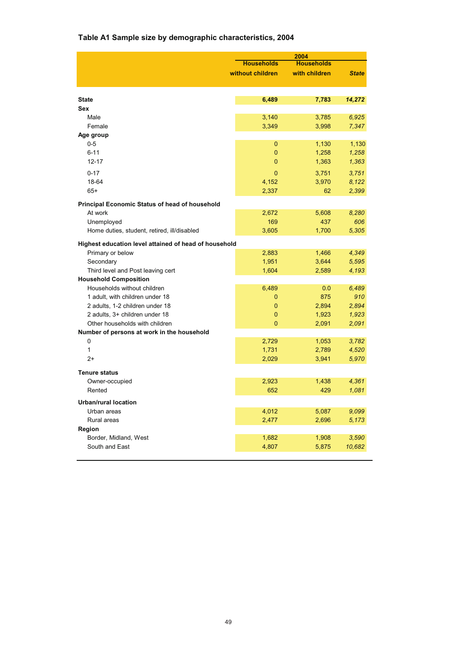# **Table A1 Sample size by demographic characteristics, 2004**

|                                                       | 2004              |                   |              |  |  |
|-------------------------------------------------------|-------------------|-------------------|--------------|--|--|
|                                                       | <b>Households</b> | <b>Households</b> |              |  |  |
|                                                       | without children  | with children     | <b>State</b> |  |  |
|                                                       |                   |                   |              |  |  |
| <b>State</b>                                          | 6,489             | 7,783             | 14,272       |  |  |
| <b>Sex</b>                                            |                   |                   |              |  |  |
| Male                                                  | 3,140             | 3,785             | 6,925        |  |  |
| Female                                                | 3,349             | 3,998             | 7,347        |  |  |
| Age group                                             |                   |                   |              |  |  |
| $0 - 5$                                               | 0                 | 1,130             | 1,130        |  |  |
| $6 - 11$                                              | 0                 | 1,258             | 1,258        |  |  |
| $12 - 17$                                             | 0                 | 1,363             | 1,363        |  |  |
|                                                       |                   |                   |              |  |  |
| $0 - 17$                                              | 0                 | 3,751             | 3,751        |  |  |
| 18-64                                                 | 4,152             | 3,970             | 8,122        |  |  |
| $65+$                                                 | 2,337             | 62                | 2,399        |  |  |
| Principal Economic Status of head of household        |                   |                   |              |  |  |
| At work                                               | 2,672             | 5,608             | 8,280        |  |  |
| Unemployed                                            | 169               | 437               | 606          |  |  |
| Home duties, student, retired, ill/disabled           | 3,605             | 1,700             | 5,305        |  |  |
|                                                       |                   |                   |              |  |  |
| Highest education level attained of head of household |                   |                   |              |  |  |
| Primary or below                                      | 2,883             | 1,466             | 4,349        |  |  |
| Secondary                                             | 1,951             | 3,644             | 5,595        |  |  |
| Third level and Post leaving cert                     | 1,604             | 2,589             | 4,193        |  |  |
| <b>Household Composition</b>                          |                   |                   |              |  |  |
| Households without children                           | 6,489             | 0.0               | 6,489        |  |  |
| 1 adult, with children under 18                       | 0                 | 875               | 910          |  |  |
| 2 adults, 1-2 children under 18                       | 0                 | 2,894             | 2,894        |  |  |
| 2 adults, 3+ children under 18                        | 0                 | 1,923             | 1,923        |  |  |
| Other households with children                        | $\overline{0}$    | 2,091             | 2,091        |  |  |
| Number of persons at work in the household            |                   |                   |              |  |  |
| 0                                                     | 2,729             | 1,053             | 3,782        |  |  |
| 1                                                     | 1,731             | 2,789             | 4,520        |  |  |
| $2+$                                                  | 2,029             | 3,941             | 5,970        |  |  |
| <b>Tenure status</b>                                  |                   |                   |              |  |  |
| Owner-occupied                                        | 2,923             | 1,438             | 4,361        |  |  |
|                                                       |                   |                   |              |  |  |
| Rented                                                | 652               | 429               | 1,081        |  |  |
| <b>Urban/rural location</b>                           |                   |                   |              |  |  |
| Urban areas                                           | 4,012             | 5,087             | 9,099        |  |  |
| Rural areas                                           | 2,477             | 2,696             | 5,173        |  |  |
| Region                                                |                   |                   |              |  |  |
| Border, Midland, West                                 | 1,682             | 1,908             | 3,590        |  |  |
| South and East                                        | 4,807             | 5,875             | 10,682       |  |  |
|                                                       |                   |                   |              |  |  |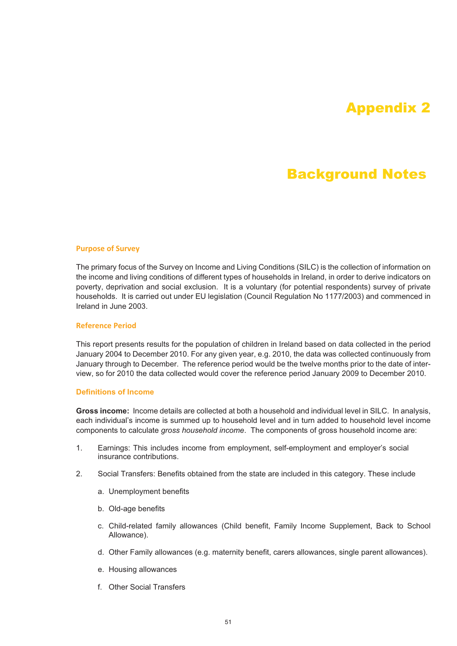# Appendix 2

# Background Notes

### **Purpose of Survey**

The primary focus of the Survey on Income and Living Conditions (SILC) is the collection of information on the income and living conditions of different types of households in Ireland, in order to derive indicators on poverty, deprivation and social exclusion. It is a voluntary (for potential respondents) survey of private households. It is carried out under EU legislation (Council Regulation No 1177/2003) and commenced in Ireland in June 2003.

### **Reference Period**

This report presents results for the population of children in Ireland based on data collected in the period January 2004 to December 2010. For any given year, e.g. 2010, the data was collected continuously from January through to December. The reference period would be the twelve months prior to the date of interview, so for 2010 the data collected would cover the reference period January 2009 to December 2010.

### **Definitions of Income**

**Gross income:** Income details are collected at both a household and individual level in SILC. In analysis, each individual's income is summed up to household level and in turn added to household level income components to calculate *gross household income*. The components of gross household income are:

- 1. Earnings: This includes income from employment, self-employment and employer's social insurance contributions.
- 2. Social Transfers: Benefits obtained from the state are included in this category. These include
	- a. Unemployment benefits
	- b. Old-age benefits
	- c. Child-related family allowances (Child benefit, Family Income Supplement, Back to School Allowance).
	- d. Other Family allowances (e.g. maternity benefit, carers allowances, single parent allowances).
	- e. Housing allowances
	- f. Other Social Transfers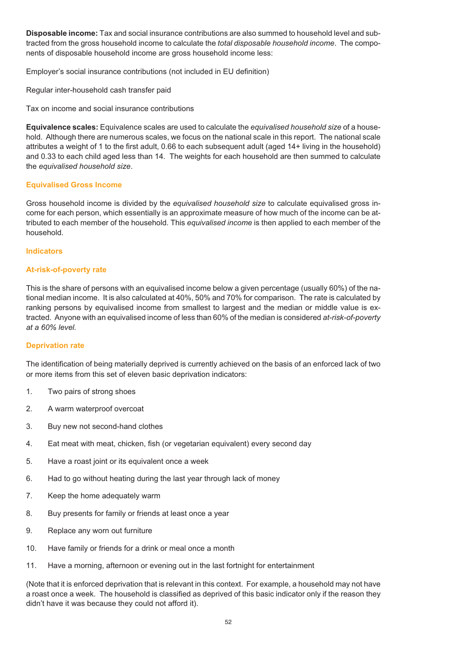**Disposable income:** Tax and social insurance contributions are also summed to household level and subtracted from the gross household income to calculate the *total disposable household income*. The components of disposable household income are gross household income less:

Employer's social insurance contributions (not included in EU definition)

Regular inter-household cash transfer paid

Tax on income and social insurance contributions

**Equivalence scales:** Equivalence scales are used to calculate the *equivalised household size* of a household. Although there are numerous scales, we focus on the national scale in this report. The national scale attributes a weight of 1 to the first adult, 0.66 to each subsequent adult (aged 14+ living in the household) and 0.33 to each child aged less than 14. The weights for each household are then summed to calculate the *equivalised household size*.

### **Equivalised Gross Income**

Gross household income is divided by the *equivalised household size* to calculate equivalised gross income for each person, which essentially is an approximate measure of how much of the income can be attributed to each member of the household. This *equivalised income* is then applied to each member of the household.

### **Indicators**

### **At-risk-of-poverty rate**

This is the share of persons with an equivalised income below a given percentage (usually 60%) of the national median income. It is also calculated at 40%, 50% and 70% for comparison. The rate is calculated by ranking persons by equivalised income from smallest to largest and the median or middle value is extracted. Anyone with an equivalised income of less than 60% of the median is considered *at-risk-of-poverty at a 60% level.*

### **Deprivation rate**

The identification of being materially deprived is currently achieved on the basis of an enforced lack of two or more items from this set of eleven basic deprivation indicators:

- 1. Two pairs of strong shoes
- 2. A warm waterproof overcoat
- 3. Buy new not second-hand clothes
- 4. Eat meat with meat, chicken, fish (or vegetarian equivalent) every second day
- 5. Have a roast joint or its equivalent once a week
- 6. Had to go without heating during the last year through lack of money
- 7. Keep the home adequately warm
- 8. Buy presents for family or friends at least once a year
- 9. Replace any worn out furniture
- 10. Have family or friends for a drink or meal once a month
- 11. Have a morning, afternoon or evening out in the last fortnight for entertainment

(Note that it is enforced deprivation that is relevant in this context. For example, a household may not have a roast once a week. The household is classified as deprived of this basic indicator only if the reason they didn't have it was because they could not afford it).